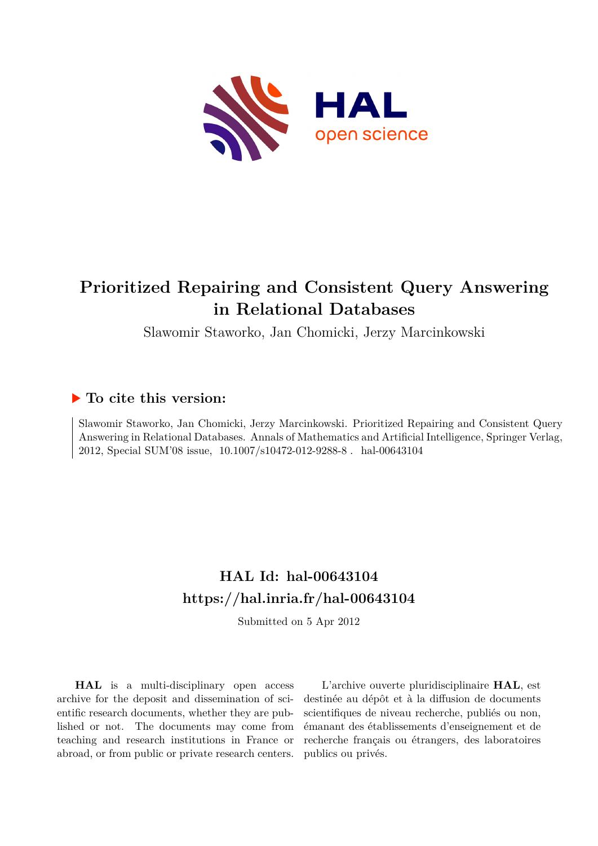

# **Prioritized Repairing and Consistent Query Answering in Relational Databases**

Slawomir Staworko, Jan Chomicki, Jerzy Marcinkowski

## **To cite this version:**

Slawomir Staworko, Jan Chomicki, Jerzy Marcinkowski. Prioritized Repairing and Consistent Query Answering in Relational Databases. Annals of Mathematics and Artificial Intelligence, Springer Verlag, 2012, Special SUM'08 issue, 10.1007/s10472-012-9288-8. hal-00643104

## **HAL Id: hal-00643104 <https://hal.inria.fr/hal-00643104>**

Submitted on 5 Apr 2012

**HAL** is a multi-disciplinary open access archive for the deposit and dissemination of scientific research documents, whether they are published or not. The documents may come from teaching and research institutions in France or abroad, or from public or private research centers.

L'archive ouverte pluridisciplinaire **HAL**, est destinée au dépôt et à la diffusion de documents scientifiques de niveau recherche, publiés ou non, émanant des établissements d'enseignement et de recherche français ou étrangers, des laboratoires publics ou privés.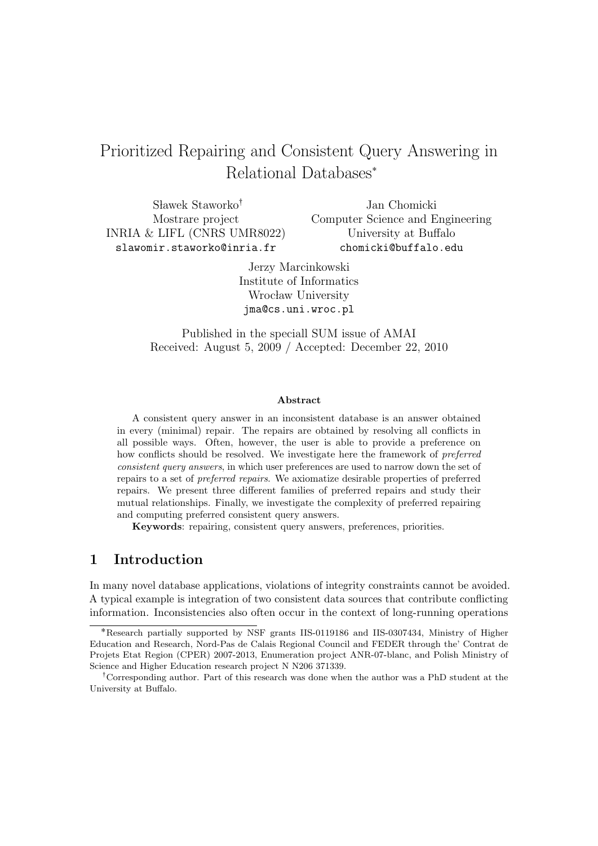## Prioritized Repairing and Consistent Query Answering in Relational Databases˚

 $Slawek Staworko<sup>†</sup>$ Mostrare project INRIA & LIFL (CNRS UMR8022) slawomir.staworko@inria.fr

Jan Chomicki Computer Science and Engineering University at Buffalo chomicki@buffalo.edu

Jerzy Marcinkowski Institute of Informatics Wrocław University jma@cs.uni.wroc.pl

Published in the speciall SUM issue of AMAI Received: August 5, 2009 / Accepted: December 22, 2010

#### Abstract

A consistent query answer in an inconsistent database is an answer obtained in every (minimal) repair. The repairs are obtained by resolving all conflicts in all possible ways. Often, however, the user is able to provide a preference on how conflicts should be resolved. We investigate here the framework of preferred consistent query answers, in which user preferences are used to narrow down the set of repairs to a set of preferred repairs. We axiomatize desirable properties of preferred repairs. We present three different families of preferred repairs and study their mutual relationships. Finally, we investigate the complexity of preferred repairing and computing preferred consistent query answers.

Keywords: repairing, consistent query answers, preferences, priorities.

## 1 Introduction

In many novel database applications, violations of integrity constraints cannot be avoided. A typical example is integration of two consistent data sources that contribute conflicting information. Inconsistencies also often occur in the context of long-running operations

<sup>˚</sup>Research partially supported by NSF grants IIS-0119186 and IIS-0307434, Ministry of Higher Education and Research, Nord-Pas de Calais Regional Council and FEDER through the' Contrat de Projets Etat Region (CPER) 2007-2013, Enumeration project ANR-07-blanc, and Polish Ministry of Science and Higher Education research project N N206 371339.

<sup>&</sup>lt;sup>†</sup>Corresponding author. Part of this research was done when the author was a PhD student at the University at Buffalo.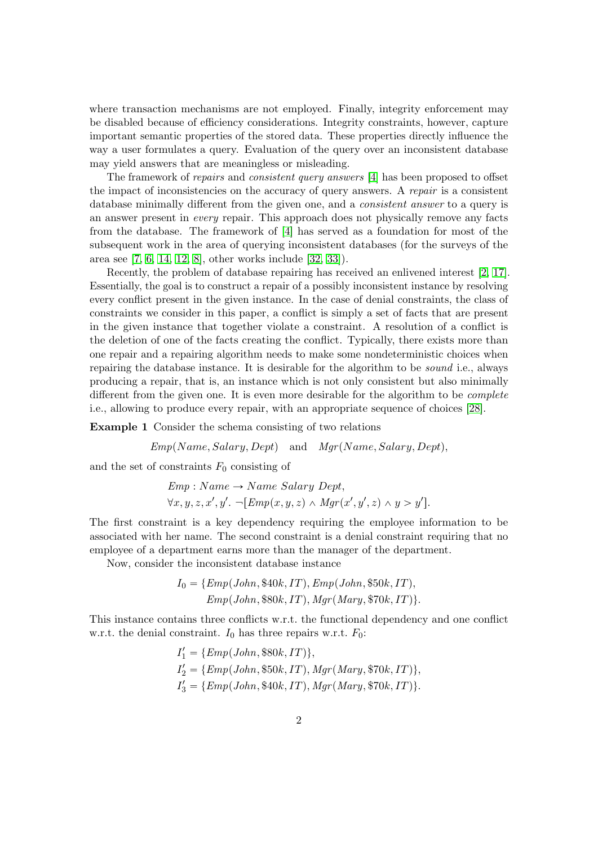where transaction mechanisms are not employed. Finally, integrity enforcement may be disabled because of efficiency considerations. Integrity constraints, however, capture important semantic properties of the stored data. These properties directly influence the way a user formulates a query. Evaluation of the query over an inconsistent database may yield answers that are meaningless or misleading.

The framework of repairs and consistent query answers [4] has been proposed to offset the impact of inconsistencies on the accuracy of query answers. A repair is a consistent database minimally different from the given one, and a *consistent answer* to a query is an answer present in every repair. This approach does not physically remove any facts from the database. The framework of [4] has served as a foundation for most of the subsequent work in the area of querying inconsistent databases (for the surveys of the area see [7, 6, 14, 12, 8], other works include [32, 33]).

Recently, the problem of database repairing has received an enlivened interest [2, 17]. Essentially, the goal is to construct a repair of a possibly inconsistent instance by resolving every conflict present in the given instance. In the case of denial constraints, the class of constraints we consider in this paper, a conflict is simply a set of facts that are present in the given instance that together violate a constraint. A resolution of a conflict is the deletion of one of the facts creating the conflict. Typically, there exists more than one repair and a repairing algorithm needs to make some nondeterministic choices when repairing the database instance. It is desirable for the algorithm to be sound i.e., always producing a repair, that is, an instance which is not only consistent but also minimally different from the given one. It is even more desirable for the algorithm to be *complete* i.e., allowing to produce every repair, with an appropriate sequence of choices [28].

Example 1 Consider the schema consisting of two relations

 $Emp(Name, Salary, Dept)$  and  $Mqr(Name, Salary, Dept),$ 

and the set of constraints  $F_0$  consisting of

$$
Emp: Name \rightarrow Name\ Salary\ Dept,
$$
  

$$
\forall x, y, z, x', y'.
$$
 -[ $Emp(x, y, z) \land Mgr(x', y', z) \land y > y'].$ 

The first constraint is a key dependency requiring the employee information to be associated with her name. The second constraint is a denial constraint requiring that no employee of a department earns more than the manager of the department.

Now, consider the inconsistent database instance

$$
I_0 = \{Emp(John, $40k, IT), Emp(John, $50k, IT), \newline Emp(John, $80k, IT), Mgr(Mary, $70k, IT)\}.
$$

This instance contains three conflicts w.r.t. the functional dependency and one conflict w.r.t. the denial constraint.  $I_0$  has three repairs w.r.t.  $F_0$ :

$$
I'_1 = \{Emp(John, $80k, IT)\},
$$
  
\n
$$
I'_2 = \{Emp(John, $50k, IT), Mgr(Mary, $70k, IT)\},
$$
  
\n
$$
I'_3 = \{Emp(John, $40k, IT), Mgr(Mary, $70k, IT)\}.
$$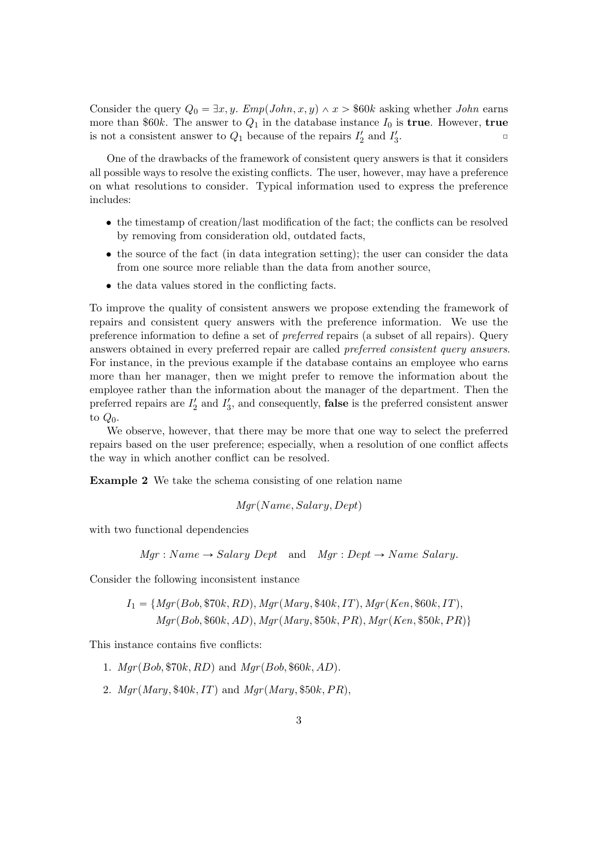Consider the query  $Q_0 = \exists x, y$ . Emp(John, x, y)  $\land x > $60k$  asking whether John earns more than \$60k. The answer to  $Q_1$  in the database instance  $I_0$  is **true**. However, **true** is not a consistent answer to  $Q_1$  because of the repairs  $I'_2$  and  $I'_3$  $\overline{\phantom{a}}$ 

One of the drawbacks of the framework of consistent query answers is that it considers all possible ways to resolve the existing conflicts. The user, however, may have a preference on what resolutions to consider. Typical information used to express the preference includes:

- the timestamp of creation/last modification of the fact; the conflicts can be resolved by removing from consideration old, outdated facts,
- the source of the fact (in data integration setting); the user can consider the data from one source more reliable than the data from another source,
- the data values stored in the conflicting facts.

To improve the quality of consistent answers we propose extending the framework of repairs and consistent query answers with the preference information. We use the preference information to define a set of preferred repairs (a subset of all repairs). Query answers obtained in every preferred repair are called preferred consistent query answers. For instance, in the previous example if the database contains an employee who earns more than her manager, then we might prefer to remove the information about the employee rather than the information about the manager of the department. Then the preferred repairs are  $I_2'$  and  $I_3'$ , and consequently, **false** is the preferred consistent answer to  $Q_0$ .

We observe, however, that there may be more that one way to select the preferred repairs based on the user preference; especially, when a resolution of one conflict affects the way in which another conflict can be resolved.

Example 2 We take the schema consisting of one relation name

 $Mar(Name, Salaru, Dept)$ 

with two functional dependencies

 $Mqr : Name \rightarrow Salary Dept$  and  $Mqr : Dept \rightarrow Name Salary.$ 

Consider the following inconsistent instance

$$
I_1 = \{Mgr(Bob, \$70k, RD), Mgr(Mary, \$40k, IT), Mgr(Ken, \$60k, IT),Mgr(Bob, \$60k, AD), Mgr(Mary, \$50k, PR), Mgr(Ken, \$50k, PR)\}\
$$

This instance contains five conflicts:

- 1.  $Mar(Bob, $70k, RD)$  and  $Mar(Bob, $60k, AD)$ .
- 2.  $Mgr(Mary, $40k, IT)$  and  $Mgr(Mary, $50k, PR)$ ,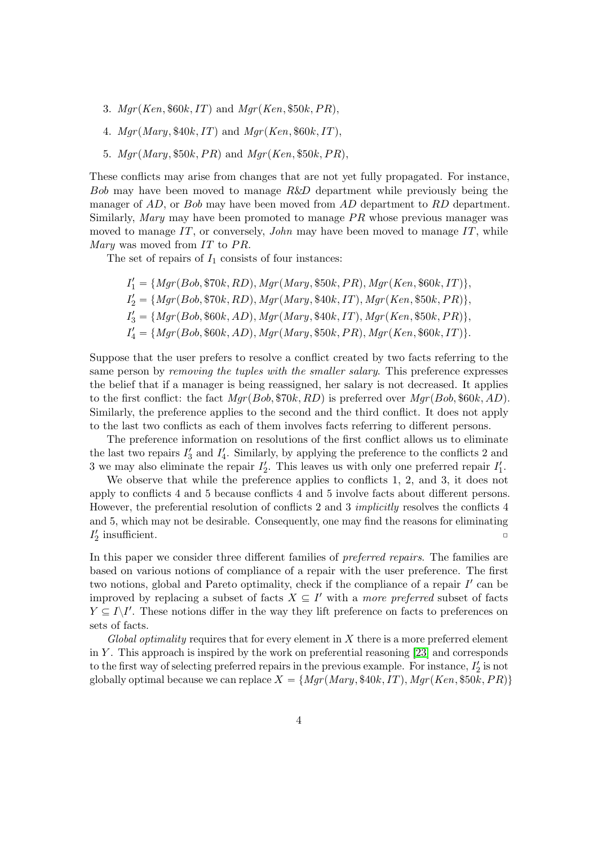- 3.  $Mgr(Ken, $60k, IT)$  and  $Mgr(Ken, $50k, PR)$ ,
- 4.  $Mgr(Mary, $40k, IT)$  and  $Mgr(Ken, $60k, IT)$ ,
- 5.  $Mgr(Mary, $50k, PR)$  and  $Mgr(Ken, $50k, PR)$ ,

These conflicts may arise from changes that are not yet fully propagated. For instance, Bob may have been moved to manage R&D department while previously being the manager of AD, or Bob may have been moved from AD department to RD department. Similarly, Mary may have been promoted to manage  $PR$  whose previous manager was moved to manage  $IT$ , or conversely, *John* may have been moved to manage  $IT$ , while *Mary* was moved from  $IT$  to  $PR$ .

The set of repairs of  $I_1$  consists of four instances:

$$
I'_1 = \{Mgr(Bob, \$70k, RD), Mgr(Mary, \$50k, PR), Mgr(Ken, \$60k, IT)\},
$$
  
\n
$$
I'_2 = \{Mgr(Bob, \$70k, RD), Mgr(Mary, \$40k, IT), Mgr(Ken, \$50k, PR)\},
$$
  
\n
$$
I'_3 = \{Mgr(Bob, \$60k, AD), Mgr(Mary, \$40k, IT), Mgr(Ken, \$50k, PR)\},
$$
  
\n
$$
I'_4 = \{Mgr(Bob, \$60k, AD), Mgr(Mary, \$50k, PR), Mgr(Ken, \$60k, IT)\}.
$$

Suppose that the user prefers to resolve a conflict created by two facts referring to the same person by *removing the tuples with the smaller salary*. This preference expresses the belief that if a manager is being reassigned, her salary is not decreased. It applies to the first conflict: the fact  $Mgr(Bob, \$70k, RD)$  is preferred over  $Mgr(Bob, \$60k, AD)$ . Similarly, the preference applies to the second and the third conflict. It does not apply to the last two conflicts as each of them involves facts referring to different persons.

The preference information on resolutions of the first conflict allows us to eliminate the last two repairs  $I'_3$  and  $I'_4$ . Similarly, by applying the preference to the conflicts 2 and 3 we may also eliminate the repair  $I'_2$ . This leaves us with only one preferred repair  $I'_1$ .

We observe that while the preference applies to conflicts 1, 2, and 3, it does not apply to conflicts 4 and 5 because conflicts 4 and 5 involve facts about different persons. However, the preferential resolution of conflicts 2 and 3 *implicitly* resolves the conflicts 4 and 5, which may not be desirable. Consequently, one may find the reasons for eliminating  $I'_2$  insufficient.

In this paper we consider three different families of preferred repairs. The families are based on various notions of compliance of a repair with the user preference. The first two notions, global and Pareto optimality, check if the compliance of a repair  $I'$  can be improved by replacing a subset of facts  $X \subseteq I'$  with a more preferred subset of facts  $Y \subseteq I \backslash I'$ . These notions differ in the way they lift preference on facts to preferences on sets of facts.

 $Global$  optimality requires that for every element in  $X$  there is a more preferred element in Y. This approach is inspired by the work on preferential reasoning  $[23]$  and corresponds to the first way of selecting preferred repairs in the previous example. For instance,  $I'_2$  is not globally optimal because we can replace  $X = \{Mgr(Mary, $40k, IT), Mgr(Ken, $50k, PR)\}$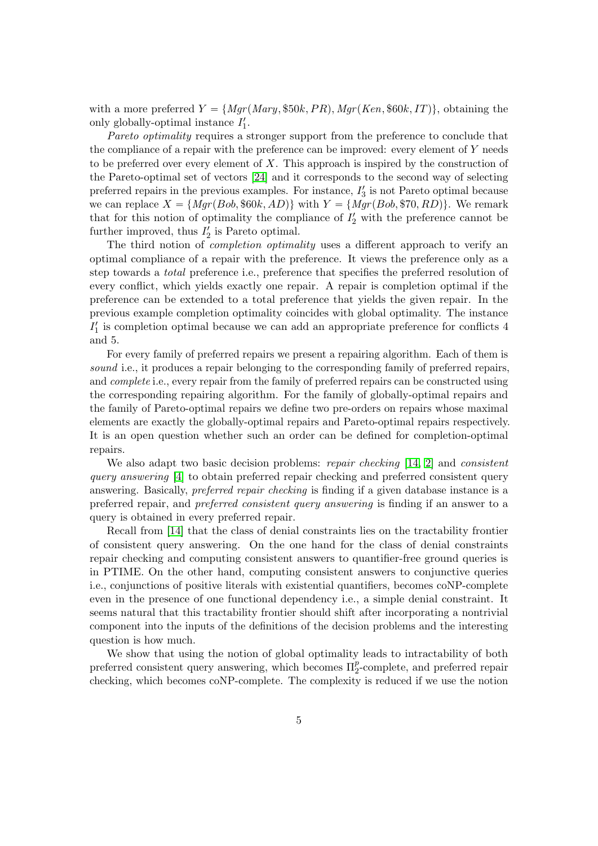with a more preferred  $Y = \{Mgr(Mary, $50k, PR), Mgr(Ken, $60k, IT)\}\,$ , obtaining the only globally-optimal instance  $I'_1$ .

Pareto optimality requires a stronger support from the preference to conclude that the compliance of a repair with the preference can be improved: every element of Y needs to be preferred over every element of  $X$ . This approach is inspired by the construction of the Pareto-optimal set of vectors [24] and it corresponds to the second way of selecting preferred repairs in the previous examples. For instance,  $I'_3$  is not Pareto optimal because we can replace  $X = \{Mgr(Bob, $60k, AD)\}\$  with  $Y = \{Mgr(Bob, $70, RD)\}\$ . We remark that for this notion of optimality the compliance of  $I'_2$  with the preference cannot be further improved, thus  $I'_2$  is Pareto optimal.

The third notion of *completion optimality* uses a different approach to verify an optimal compliance of a repair with the preference. It views the preference only as a step towards a total preference i.e., preference that specifies the preferred resolution of every conflict, which yields exactly one repair. A repair is completion optimal if the preference can be extended to a total preference that yields the given repair. In the previous example completion optimality coincides with global optimality. The instance  $I'_1$  is completion optimal because we can add an appropriate preference for conflicts  $4$ and 5.

For every family of preferred repairs we present a repairing algorithm. Each of them is sound i.e., it produces a repair belonging to the corresponding family of preferred repairs, and *complete* i.e., every repair from the family of preferred repairs can be constructed using the corresponding repairing algorithm. For the family of globally-optimal repairs and the family of Pareto-optimal repairs we define two pre-orders on repairs whose maximal elements are exactly the globally-optimal repairs and Pareto-optimal repairs respectively. It is an open question whether such an order can be defined for completion-optimal repairs.

We also adapt two basic decision problems: repair checking [14, 2] and consistent query answering [4] to obtain preferred repair checking and preferred consistent query answering. Basically, preferred repair checking is finding if a given database instance is a preferred repair, and preferred consistent query answering is finding if an answer to a query is obtained in every preferred repair.

Recall from [14] that the class of denial constraints lies on the tractability frontier of consistent query answering. On the one hand for the class of denial constraints repair checking and computing consistent answers to quantifier-free ground queries is in PTIME. On the other hand, computing consistent answers to conjunctive queries i.e., conjunctions of positive literals with existential quantifiers, becomes coNP-complete even in the presence of one functional dependency i.e., a simple denial constraint. It seems natural that this tractability frontier should shift after incorporating a nontrivial component into the inputs of the definitions of the decision problems and the interesting question is how much.

We show that using the notion of global optimality leads to intractability of both preferred consistent query answering, which becomes  $\Pi_2^p$ -complete, and preferred repair checking, which becomes coNP-complete. The complexity is reduced if we use the notion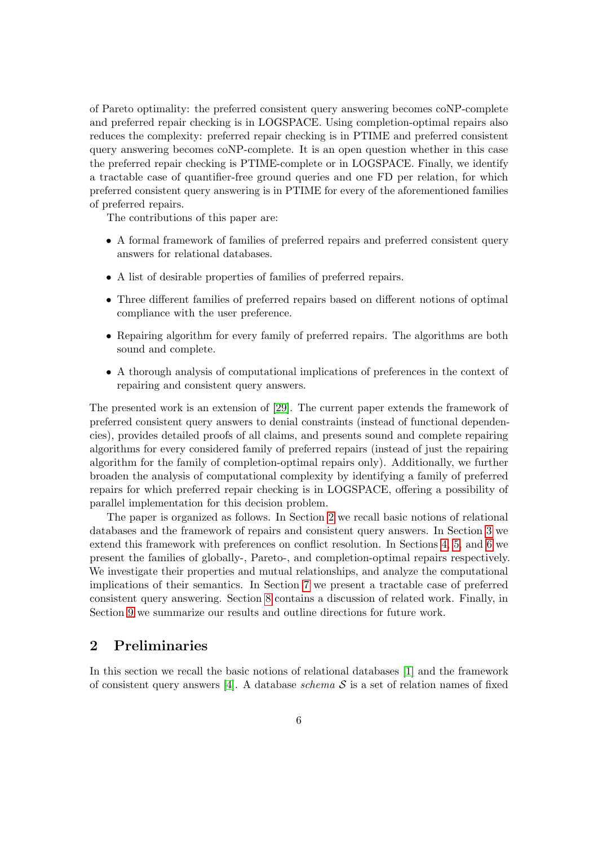of Pareto optimality: the preferred consistent query answering becomes coNP-complete and preferred repair checking is in LOGSPACE. Using completion-optimal repairs also reduces the complexity: preferred repair checking is in PTIME and preferred consistent query answering becomes coNP-complete. It is an open question whether in this case the preferred repair checking is PTIME-complete or in LOGSPACE. Finally, we identify a tractable case of quantifier-free ground queries and one FD per relation, for which preferred consistent query answering is in PTIME for every of the aforementioned families of preferred repairs.

The contributions of this paper are:

- A formal framework of families of preferred repairs and preferred consistent query answers for relational databases.
- A list of desirable properties of families of preferred repairs.
- Three different families of preferred repairs based on different notions of optimal compliance with the user preference.
- Repairing algorithm for every family of preferred repairs. The algorithms are both sound and complete.
- A thorough analysis of computational implications of preferences in the context of repairing and consistent query answers.

The presented work is an extension of [29]. The current paper extends the framework of preferred consistent query answers to denial constraints (instead of functional dependencies), provides detailed proofs of all claims, and presents sound and complete repairing algorithms for every considered family of preferred repairs (instead of just the repairing algorithm for the family of completion-optimal repairs only). Additionally, we further broaden the analysis of computational complexity by identifying a family of preferred repairs for which preferred repair checking is in LOGSPACE, offering a possibility of parallel implementation for this decision problem.

The paper is organized as follows. In Section 2 we recall basic notions of relational databases and the framework of repairs and consistent query answers. In Section 3 we extend this framework with preferences on conflict resolution. In Sections 4, 5, and 6 we present the families of globally-, Pareto-, and completion-optimal repairs respectively. We investigate their properties and mutual relationships, and analyze the computational implications of their semantics. In Section 7 we present a tractable case of preferred consistent query answering. Section 8 contains a discussion of related work. Finally, in Section 9 we summarize our results and outline directions for future work.

## 2 Preliminaries

In this section we recall the basic notions of relational databases [1] and the framework of consistent query answers [4]. A database schema  $S$  is a set of relation names of fixed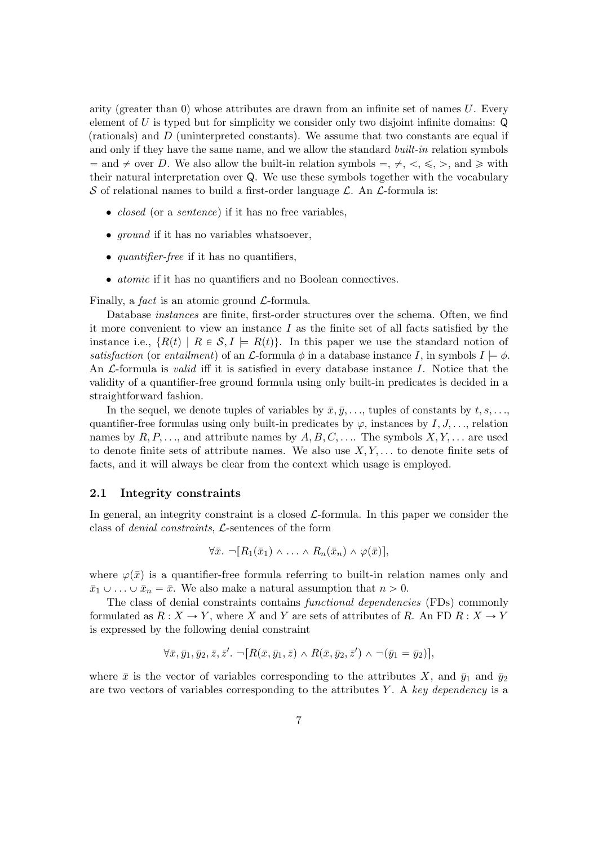arity (greater than  $\alpha$ ) whose attributes are drawn from an infinite set of names U. Every element of U is typed but for simplicity we consider only two disjoint infinite domains:  $\mathsf Q$ (rationals) and D (uninterpreted constants). We assume that two constants are equal if and only if they have the same name, and we allow the standard *built-in* relation symbols  $\alpha =$  and  $\neq$  over D. We also allow the built-in relation symbols  $=$ ,  $\neq$ ,  $\lt$ ,  $\lt$ ,  $\gt$ , and  $\geq$  with their natural interpretation over Q. We use these symbols together with the vocabulary S of relational names to build a first-order language  $\mathcal{L}$ . An  $\mathcal{L}$ -formula is:

- *closed* (or a *sentence*) if it has no free variables,
- *ground* if it has no variables whatsoever,
- *quantifier-free* if it has no quantifiers,
- atomic if it has no quantifiers and no Boolean connectives.

Finally, a *fact* is an atomic ground  $\mathcal{L}$ -formula.

Database instances are finite, first-order structures over the schema. Often, we find it more convenient to view an instance  $I$  as the finite set of all facts satisfied by the instance i.e.,  $\{R(t) | R \in S, I \models R(t)\}.$  In this paper we use the standard notion of satisfaction (or entailment) of an  $\mathcal{L}$ -formula  $\phi$  in a database instance I, in symbols  $I \models \phi$ . An  $\mathcal{L}$ -formula is *valid* iff it is satisfied in every database instance I. Notice that the validity of a quantifier-free ground formula using only built-in predicates is decided in a straightforward fashion.

In the sequel, we denote tuples of variables by  $\bar{x}, \bar{y}, \ldots$ , tuples of constants by  $t, s, \ldots$ , quantifier-free formulas using only built-in predicates by  $\varphi$ , instances by  $I, J, \ldots$ , relation names by  $R, P, \ldots$ , and attribute names by  $A, B, C, \ldots$ . The symbols  $X, Y, \ldots$  are used to denote finite sets of attribute names. We also use  $X, Y, \ldots$  to denote finite sets of facts, and it will always be clear from the context which usage is employed.

#### 2.1 Integrity constraints

In general, an integrity constraint is a closed  $\mathcal{L}$ -formula. In this paper we consider the class of denial constraints, L-sentences of the form

$$
\forall \bar{x}.\ \neg[R_1(\bar{x}_1) \land \ldots \land R_n(\bar{x}_n) \land \varphi(\bar{x})],
$$

where  $\varphi(\bar{x})$  is a quantifier-free formula referring to built-in relation names only and  $\bar{x}_1 \cup \ldots \cup \bar{x}_n = \bar{x}$ . We also make a natural assumption that  $n > 0$ .

The class of denial constraints contains functional dependencies (FDs) commonly formulated as  $R: X \to Y$ , where X and Y are sets of attributes of R. An FD  $R: X \to Y$ is expressed by the following denial constraint

$$
\forall \bar{x}, \bar{y}_1, \bar{y}_2, \bar{z}, \bar{z}'. \neg [R(\bar{x}, \bar{y}_1, \bar{z}) \wedge R(\bar{x}, \bar{y}_2, \bar{z}') \wedge \neg(\bar{y}_1 = \bar{y}_2)],
$$

where  $\bar{x}$  is the vector of variables corresponding to the attributes X, and  $\bar{y}_1$  and  $\bar{y}_2$ are two vectors of variables corresponding to the attributes Y. A key dependency is a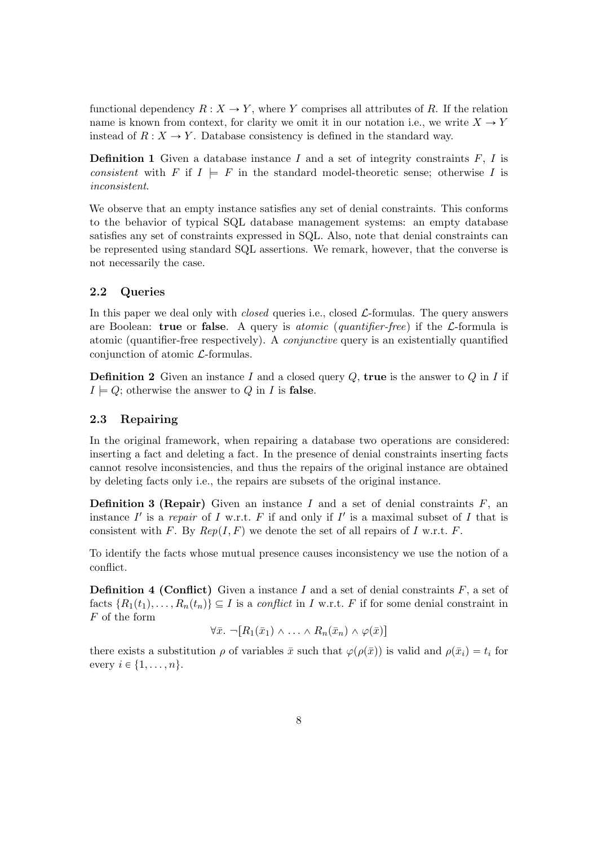functional dependency  $R : X \to Y$ , where Y comprises all attributes of R. If the relation name is known from context, for clarity we omit it in our notation i.e., we write  $X \to Y$ instead of  $R: X \to Y$ . Database consistency is defined in the standard way.

**Definition 1** Given a database instance  $I$  and a set of integrity constraints  $F$ ,  $I$  is consistent with F if  $I \models F$  in the standard model-theoretic sense; otherwise I is inconsistent.

We observe that an empty instance satisfies any set of denial constraints. This conforms to the behavior of typical SQL database management systems: an empty database satisfies any set of constraints expressed in SQL. Also, note that denial constraints can be represented using standard SQL assertions. We remark, however, that the converse is not necessarily the case.

#### 2.2 Queries

In this paper we deal only with *closed* queries i.e., closed  $\mathcal{L}$ -formulas. The query answers are Boolean: true or false. A query is *atomic (quantifier-free)* if the  $\mathcal{L}$ -formula is atomic (quantifier-free respectively). A conjunctive query is an existentially quantified conjunction of atomic  $\mathcal{L}$ -formulas.

**Definition 2** Given an instance I and a closed query  $Q$ , **true** is the answer to  $Q$  in I if  $I \models Q$ ; otherwise the answer to Q in I is false.

#### 2.3 Repairing

In the original framework, when repairing a database two operations are considered: inserting a fact and deleting a fact. In the presence of denial constraints inserting facts cannot resolve inconsistencies, and thus the repairs of the original instance are obtained by deleting facts only i.e., the repairs are subsets of the original instance.

**Definition 3 (Repair)** Given an instance I and a set of denial constraints  $F$ , an instance  $I'$  is a repair of I w.r.t. F if and only if I' is a maximal subset of I that is consistent with F. By  $Rep(I, F)$  we denote the set of all repairs of I w.r.t. F.

To identify the facts whose mutual presence causes inconsistency we use the notion of a conflict.

**Definition 4 (Conflict)** Given a instance I and a set of denial constraints  $F$ , a set of facts  $\{R_1(t_1), \ldots, R_n(t_n)\}\subseteq I$  is a conflict in I w.r.t. F if for some denial constraint in F of the form

$$
\forall \bar{x}.\ \neg[R_1(\bar{x}_1) \wedge \ldots \wedge R_n(\bar{x}_n) \wedge \varphi(\bar{x})]
$$

there exists a substitution  $\rho$  of variables  $\bar{x}$  such that  $\varphi(\rho(\bar{x}))$  is valid and  $\rho(\bar{x}_i) = t_i$  for every  $i \in \{1, \ldots, n\}.$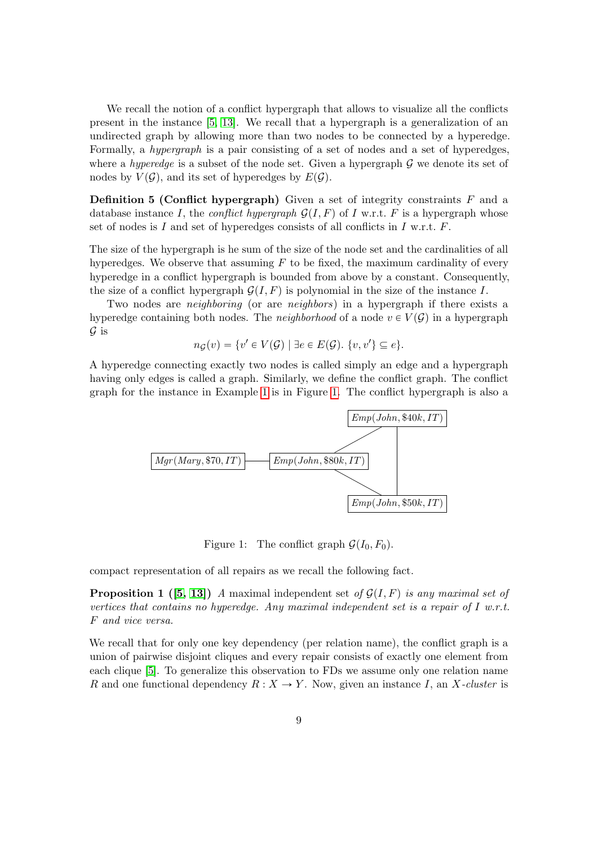We recall the notion of a conflict hypergraph that allows to visualize all the conflicts present in the instance [5, 13]. We recall that a hypergraph is a generalization of an undirected graph by allowing more than two nodes to be connected by a hyperedge. Formally, a hypergraph is a pair consisting of a set of nodes and a set of hyperedges, where a *hyperedge* is a subset of the node set. Given a hypergraph  $G$  we denote its set of nodes by  $V(\mathcal{G})$ , and its set of hyperedges by  $E(\mathcal{G})$ .

**Definition 5 (Conflict hypergraph)** Given a set of integrity constraints  $F$  and a database instance I, the conflict hypergraph  $\mathcal{G}(I, F)$  of I w.r.t. F is a hypergraph whose set of nodes is  $I$  and set of hyperedges consists of all conflicts in  $I$  w.r.t.  $F$ .

The size of the hypergraph is he sum of the size of the node set and the cardinalities of all hyperedges. We observe that assuming  $F$  to be fixed, the maximum cardinality of every hyperedge in a conflict hypergraph is bounded from above by a constant. Consequently, the size of a conflict hypergraph  $\mathcal{G}(I, F)$  is polynomial in the size of the instance I.

Two nodes are *neighboring* (or are *neighbors*) in a hypergraph if there exists a hyperedge containing both nodes. The *neighborhood* of a node  $v \in V(G)$  in a hypergraph  $\mathcal G$  is

$$
n_{\mathcal{G}}(v) = \{v' \in V(\mathcal{G}) \mid \exists e \in E(\mathcal{G}). \ \{v, v'\} \subseteq e\}.
$$

A hyperedge connecting exactly two nodes is called simply an edge and a hypergraph having only edges is called a graph. Similarly, we define the conflict graph. The conflict graph for the instance in Example 1 is in Figure 1. The conflict hypergraph is also a



Figure 1: The conflict graph  $\mathcal{G}(I_0, F_0)$ .

compact representation of all repairs as we recall the following fact.

**Proposition 1** ([5, 13]) A maximal independent set of  $\mathcal{G}(I, F)$  is any maximal set of vertices that contains no hyperedge. Any maximal independent set is a repair of  $I$  w.r.t. F and vice versa.

We recall that for only one key dependency (per relation name), the conflict graph is a union of pairwise disjoint cliques and every repair consists of exactly one element from each clique [5]. To generalize this observation to FDs we assume only one relation name R and one functional dependency  $R : X \to Y$ . Now, given an instance I, an X-cluster is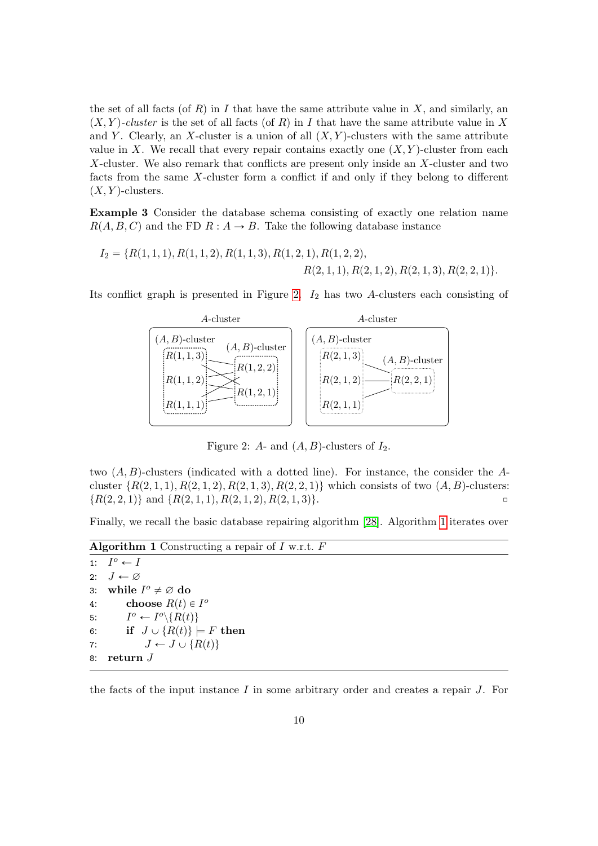the set of all facts (of R) in I that have the same attribute value in X, and similarly, an  $(X, Y)$ -cluster is the set of all facts (of R) in I that have the same attribute value in X and Y. Clearly, an X-cluster is a union of all  $(X, Y)$ -clusters with the same attribute value in X. We recall that every repair contains exactly one  $(X, Y)$ -cluster from each X-cluster. We also remark that conflicts are present only inside an X-cluster and two facts from the same X-cluster form a conflict if and only if they belong to different  $(X, Y)$ -clusters.

Example 3 Consider the database schema consisting of exactly one relation name  $R(A, B, C)$  and the FD  $R : A \rightarrow B$ . Take the following database instance

$$
I_2 = \{R(1, 1, 1), R(1, 1, 2), R(1, 1, 3), R(1, 2, 1), R(1, 2, 2),
$$
  

$$
R(2, 1, 1), R(2, 1, 2), R(2, 1, 3), R(2, 2, 1)\}.
$$

Its conflict graph is presented in Figure 2.  $I_2$  has two A-clusters each consisting of



Figure 2: A- and  $(A, B)$ -clusters of  $I_2$ .

two  $(A, B)$ -clusters (indicated with a dotted line). For instance, the consider the Acluster  $\{R(2, 1, 1), R(2, 1, 2), R(2, 1, 3), R(2, 2, 1)\}\$  which consists of two  $(A, B)$ -clusters:  $\{R(2, 2, 1)\}\$ and  $\{R(2, 1, 1), R(2, 1, 2), R(2, 1, 3)\}.$ 

Finally, we recall the basic database repairing algorithm [28]. Algorithm 1 iterates over

**Algorithm 1** Constructing a repair of  $I$  w.r.t.  $F$ 

```
1: I
     I^o \leftarrow I2: J \leftarrow \varnothing3: while I^o \neq \emptyset do
4: choose R(t) \in I^{\circ}5:\theta \leftarrow I^o \backslash \{R(t)\}6: if J \cup \{R(t)\}\models F then
7: J \leftarrow J \cup \{R(t)\}8: return J
```
the facts of the input instance  $I$  in some arbitrary order and creates a repair  $J$ . For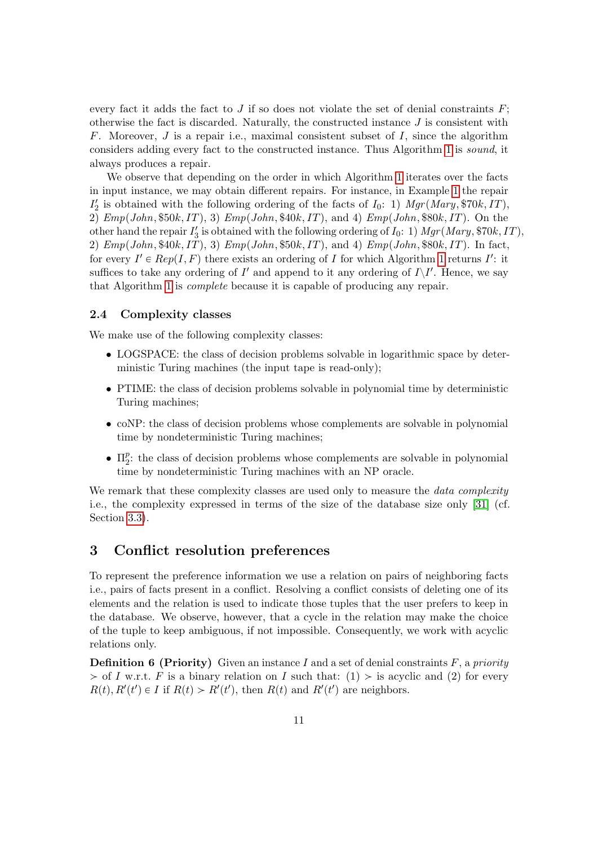every fact it adds the fact to  $J$  if so does not violate the set of denial constraints  $F$ ; otherwise the fact is discarded. Naturally, the constructed instance  $J$  is consistent with F. Moreover,  $J$  is a repair i.e., maximal consistent subset of  $I$ , since the algorithm considers adding every fact to the constructed instance. Thus Algorithm 1 is sound, it always produces a repair.

We observe that depending on the order in which Algorithm 1 iterates over the facts in input instance, we may obtain different repairs. For instance, in Example 1 the repair  $I'_2$  is obtained with the following ordering of the facts of  $I_0$ : 1)  $Mgr(Mary, $70k, IT)$ , 2)  $Emp(John, $50k, IT), 3) Emp(John, $40k, IT), and 4) Emp(John, $80k, IT). On the$ other hand the repair  $I'_3$  is obtained with the following ordering of  $I_0$ : 1)  $Mgr(Mary, $70k, IT)$ , 2)  $Emp(John, $40k, IT), 3) Emp(John, $50k, IT), and 4) Emp(John, $80k, IT). In fact,$ for every  $I' \in Rep(I, F)$  there exists an ordering of I for which Algorithm 1 returns I': it suffices to take any ordering of  $I'$  and append to it any ordering of  $I\setminus I'$ . Hence, we say that Algorithm 1 is complete because it is capable of producing any repair.

#### 2.4 Complexity classes

We make use of the following complexity classes:

- LOGSPACE: the class of decision problems solvable in logarithmic space by deterministic Turing machines (the input tape is read-only);
- PTIME: the class of decision problems solvable in polynomial time by deterministic Turing machines;
- coNP: the class of decision problems whose complements are solvable in polynomial time by nondeterministic Turing machines;
- $\bullet$   $\Pi_2^p$  $_{2}^{p}$ : the class of decision problems whose complements are solvable in polynomial time by nondeterministic Turing machines with an NP oracle.

We remark that these complexity classes are used only to measure the *data complexity* i.e., the complexity expressed in terms of the size of the database size only [31] (cf. Section 3.3).

## 3 Conflict resolution preferences

To represent the preference information we use a relation on pairs of neighboring facts i.e., pairs of facts present in a conflict. Resolving a conflict consists of deleting one of its elements and the relation is used to indicate those tuples that the user prefers to keep in the database. We observe, however, that a cycle in the relation may make the choice of the tuple to keep ambiguous, if not impossible. Consequently, we work with acyclic relations only.

**Definition 6 (Priority)** Given an instance I and a set of denial constraints  $F$ , a priority  $>$  of I w.r.t. F is a binary relation on I such that: (1)  $>$  is acyclic and (2) for every  $R(t), R'(t') \in I$  if  $R(t) > R'(t')$ , then  $R(t)$  and  $R'(t')$  are neighbors.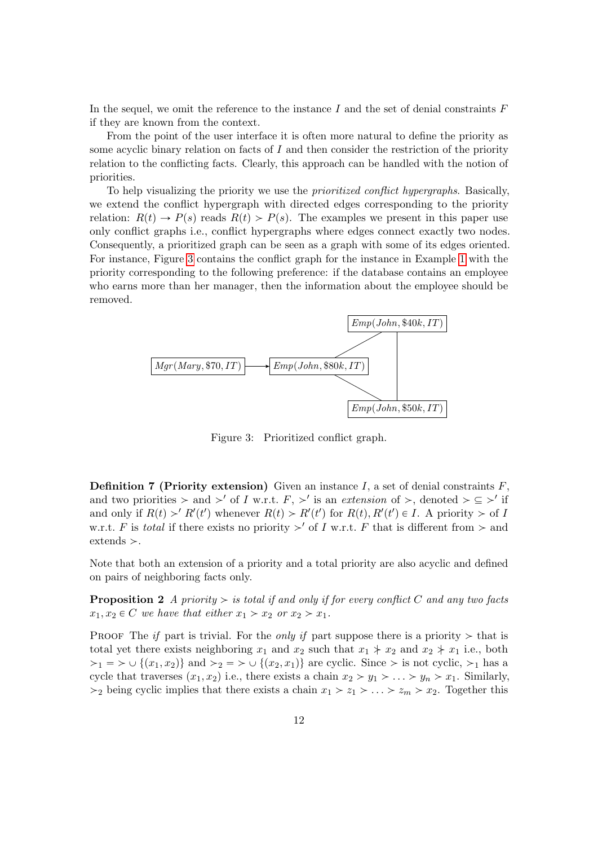In the sequel, we omit the reference to the instance I and the set of denial constraints  $F$ if they are known from the context.

From the point of the user interface it is often more natural to define the priority as some acyclic binary relation on facts of  $I$  and then consider the restriction of the priority relation to the conflicting facts. Clearly, this approach can be handled with the notion of priorities.

To help visualizing the priority we use the prioritized conflict hypergraphs. Basically, we extend the conflict hypergraph with directed edges corresponding to the priority relation:  $R(t) \rightarrow P(s)$  reads  $R(t) > P(s)$ . The examples we present in this paper use only conflict graphs i.e., conflict hypergraphs where edges connect exactly two nodes. Consequently, a prioritized graph can be seen as a graph with some of its edges oriented. For instance, Figure 3 contains the conflict graph for the instance in Example 1 with the priority corresponding to the following preference: if the database contains an employee who earns more than her manager, then the information about the employee should be removed.



Figure 3: Prioritized conflict graph.

**Definition 7 (Priority extension)** Given an instance I, a set of denial constraints  $F$ , and two priorities  $>$  and  $>'$  of I w.r.t.  $F, >'$  is an extension of  $>$ , denoted  $> \subseteq >'$  if and only if  $R(t) > R'(t')$  whenever  $R(t) > R'(t')$  for  $R(t), R'(t') \in I$ . A priority  $>$  of I w.r.t. F is total if there exists no priority  $>'$  of I w.r.t. F that is different from  $>$  and  $extends$  >.

Note that both an extension of a priority and a total priority are also acyclic and defined on pairs of neighboring facts only.

**Proposition 2** A priority  $>$  is total if and only if for every conflict C and any two facts  $x_1, x_2 \in C$  we have that either  $x_1 > x_2$  or  $x_2 > x_1$ .

PROOF The if part is trivial. For the only if part suppose there is a priority  $>$  that is total yet there exists neighboring  $x_1$  and  $x_2$  such that  $x_1 \nless x_2$  and  $x_2 \nless x_1$  i.e., both  $\{1 \geq 1 \leq x_1 \leq x_2\}$  and  $\{2 \leq x_2 \leq x_1\}$  are cyclic. Since  $\geq$  is not cyclic,  $\geq_1$  has a cycle that traverses  $(x_1, x_2)$  i.e., there exists a chain  $x_2 > y_1 > \ldots > y_n > x_1$ . Similarly,  $>$ <sub>2</sub> being cyclic implies that there exists a chain  $x_1 > z_1 > ... > z_m > x_2$ . Together this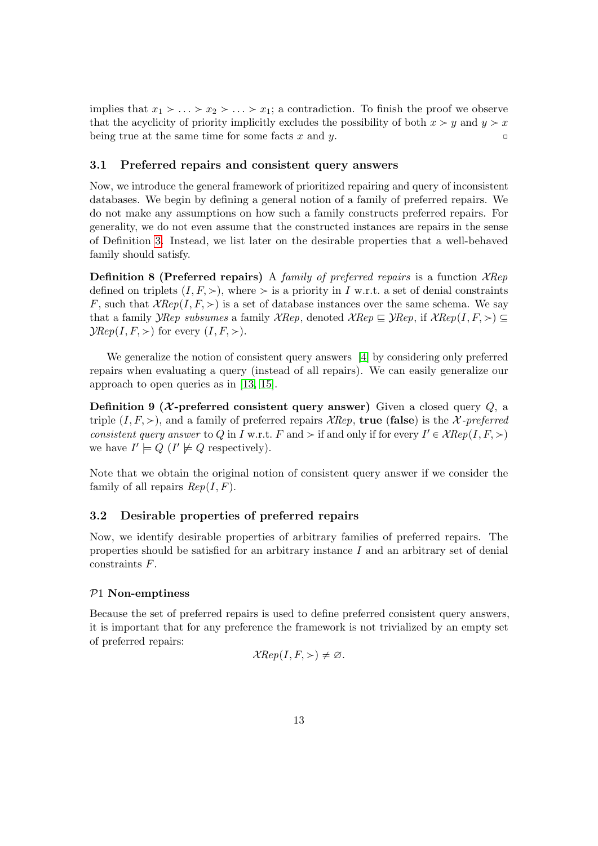implies that  $x_1 > \ldots > x_2 > \ldots > x_1$ ; a contradiction. To finish the proof we observe that the acyclicity of priority implicitly excludes the possibility of both  $x > y$  and  $y > x$ being true at the same time for some facts x and y.

#### 3.1 Preferred repairs and consistent query answers

Now, we introduce the general framework of prioritized repairing and query of inconsistent databases. We begin by defining a general notion of a family of preferred repairs. We do not make any assumptions on how such a family constructs preferred repairs. For generality, we do not even assume that the constructed instances are repairs in the sense of Definition 3. Instead, we list later on the desirable properties that a well-behaved family should satisfy.

**Definition 8 (Preferred repairs)** A family of preferred repairs is a function  $XRep$ defined on triplets  $(I, F, >)$ , where  $>$  is a priority in I w.r.t. a set of denial constraints F, such that  $XRep(I, F, >)$  is a set of database instances over the same schema. We say that a family *YRep subsumes* a family *XRep*, denoted  $XRep \subseteq YRep$ , if  $XRep(I, F, >) \subseteq$  $\mathcal{Y}Rep(I, F, >)$  for every  $(I, F, >)$ .

We generalize the notion of consistent query answers [4] by considering only preferred repairs when evaluating a query (instead of all repairs). We can easily generalize our approach to open queries as in [13, 15].

Definition 9 ( $X$ -preferred consistent query answer) Given a closed query  $Q$ , a triple  $(I, F, >)$ , and a family of preferred repairs XRep, true (false) is the X-preferred consistent query answer to Q in I w.r.t. F and  $>$  if and only if for every  $I' \in \mathcal{X} Rep(I, F, >)$ we have  $I' \models Q$  ( $I' \not\models Q$  respectively).

Note that we obtain the original notion of consistent query answer if we consider the family of all repairs  $Rep(I, F)$ .

#### 3.2 Desirable properties of preferred repairs

Now, we identify desirable properties of arbitrary families of preferred repairs. The properties should be satisfied for an arbitrary instance  $I$  and an arbitrary set of denial constraints F.

#### P1 Non-emptiness

Because the set of preferred repairs is used to define preferred consistent query answers, it is important that for any preference the framework is not trivialized by an empty set of preferred repairs:

$$
\mathcal{X} Rep(I, F, >) \neq \varnothing.
$$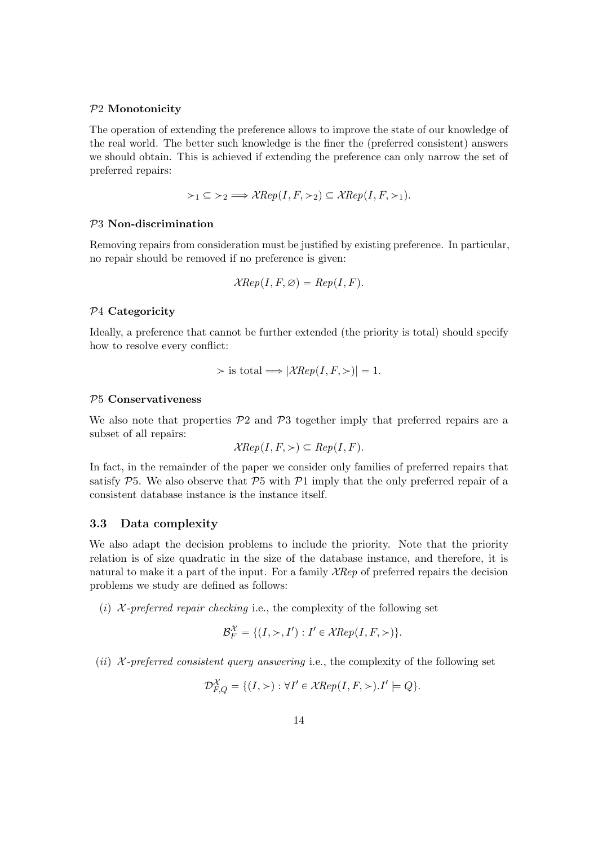#### P2 Monotonicity

The operation of extending the preference allows to improve the state of our knowledge of the real world. The better such knowledge is the finer the (preferred consistent) answers we should obtain. This is achieved if extending the preference can only narrow the set of preferred repairs:

$$
\succ_1 \subseteq \succ_2 \implies \mathcal{X} Rep(I, F, \succ_2) \subseteq \mathcal{X} Rep(I, F, \succ_1).
$$

#### P3 Non-discrimination

Removing repairs from consideration must be justified by existing preference. In particular, no repair should be removed if no preference is given:

$$
\mathcal{X} Rep(I, F, \varnothing) = Rep(I, F).
$$

#### P4 Categoricity

Ideally, a preference that cannot be further extended (the priority is total) should specify how to resolve every conflict:

$$
\rangle \text{ is total} \Longrightarrow |\mathcal{X} Rep(I, F, \rangle)| = 1.
$$

#### P5 Conservativeness

We also note that properties  $\mathcal{P}2$  and  $\mathcal{P}3$  together imply that preferred repairs are a subset of all repairs:

$$
\mathcal{X} Rep(I, F, \gt) \subseteq Rep(I, F).
$$

In fact, in the remainder of the paper we consider only families of preferred repairs that satisfy  $P5$ . We also observe that  $P5$  with  $P1$  imply that the only preferred repair of a consistent database instance is the instance itself.

#### 3.3 Data complexity

We also adapt the decision problems to include the priority. Note that the priority relation is of size quadratic in the size of the database instance, and therefore, it is natural to make it a part of the input. For a family  $\mathcal{X} Rep$  of preferred repairs the decision problems we study are defined as follows:

(i)  $\mathcal{X}\text{-}prefered\; repair\; checking\; i.e.,\; the complexity\; of\; the\; following\; set$ 

$$
\mathcal{B}_F^{\mathcal{X}} = \{ (I, \gt, I') : I' \in \mathcal{X} Rep(I, F, \gt) \}.
$$

(ii)  $\mathcal{X}\text{-}pref{erred}$  consistent query answering i.e., the complexity of the following set

$$
\mathcal{D}_{F,Q}^{\mathcal{X}} = \{ (I,>) : \forall I' \in \mathcal{X} Rep(I, F,>) . I' \models Q \}.
$$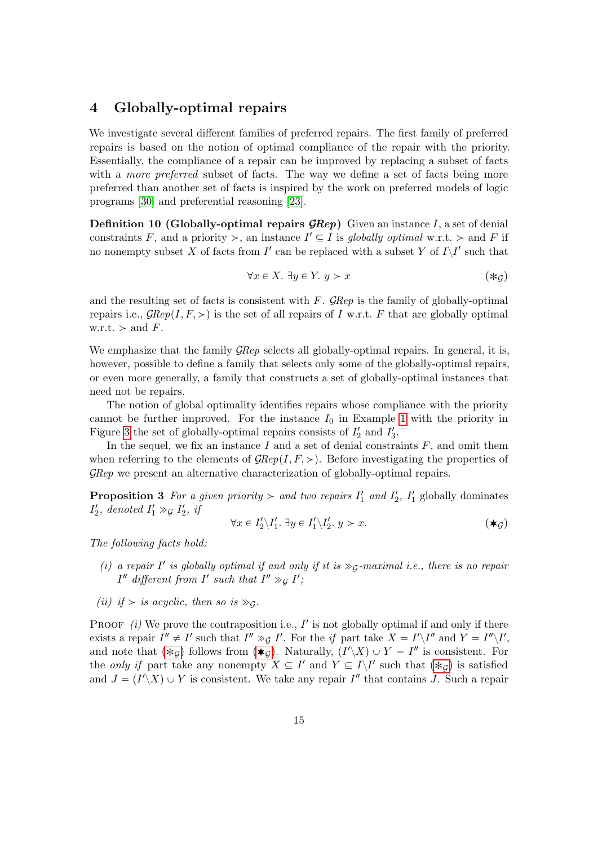## 4 Globally-optimal repairs

We investigate several different families of preferred repairs. The first family of preferred repairs is based on the notion of optimal compliance of the repair with the priority. Essentially, the compliance of a repair can be improved by replacing a subset of facts with a *more preferred* subset of facts. The way we define a set of facts being more preferred than another set of facts is inspired by the work on preferred models of logic programs [30] and preferential reasoning [23].

**Definition 10 (Globally-optimal repairs**  $\mathcal{R}$ **ex)** Given an instance I, a set of denial constraints F, and a priority  $\geq$ , an instance  $I' \subseteq I$  is globally optimal w.r.t.  $\geq$  and F if no nonempty subset X of facts from  $I'$  can be replaced with a subset Y of  $I\setminus I'$  such that

$$
\forall x \in X. \exists y \in Y. \ y > x \tag{*c}
$$

and the resulting set of facts is consistent with  $F$ .  $\mathcal{G}Rep$  is the family of globally-optimal repairs i.e.,  $\mathcal{G}Rep(I, F, \geq)$  is the set of all repairs of I w.r.t. F that are globally optimal w.r.t.  $>$  and F.

We emphasize that the family  $\mathcal{G}Rep$  selects all globally-optimal repairs. In general, it is, however, possible to define a family that selects only some of the globally-optimal repairs, or even more generally, a family that constructs a set of globally-optimal instances that need not be repairs.

The notion of global optimality identifies repairs whose compliance with the priority cannot be further improved. For the instance  $I_0$  in Example 1 with the priority in Figure 3 the set of globally-optimal repairs consists of  $I'_2$  and  $I'_3$ .

In the sequel, we fix an instance I and a set of denial constraints  $F$ , and omit them when referring to the elements of  $\mathcal{G}Rep(I, F, >)$ . Before investigating the properties of GRep we present an alternative characterization of globally-optimal repairs.

**Proposition 3** For a given priority  $>$  and two repairs  $I'_1$  and  $I'_2$ ,  $I'_1$  globally dominates  $I'_2$ , denoted  $I'_1 \gg_{\mathcal{G}} I'_2$ , if

$$
\forall x \in I_2' \backslash I_1'. \exists y \in I_1' \backslash I_2'. y > x. \tag{\text{#G}}
$$

The following facts hold:

- (i) a repair  $I'$  is globally optimal if and only if it is  $\gg_{\mathcal{G}}$ -maximal i.e., there is no repair  $I''$  different from  $I'$  such that  $I'' \gg_{\mathcal{G}} I'$ ;
- (ii) if  $>$  is acyclic, then so is  $\gg_G$ .

PROOF  $(i)$  We prove the contraposition i.e.,  $I'$  is not globally optimal if and only if there exists a repair  $I'' \neq I'$  such that  $I'' \gg g I'$ . For the if part take  $X = I' \setminus I''$  and  $Y = I'' \setminus I'$ , and note that  $(*g)$  follows from  $(*g)$ . Naturally,  $(I'\_X) \cup Y = I''$  is consistent. For the only if part take any nonempty  $X \subseteq I'$  and  $Y \subseteq I\backslash I'$  such that  $(*g)$  is satisfied and  $J = (I' \ X) \cup Y$  is consistent. We take any repair  $I''$  that contains J. Such a repair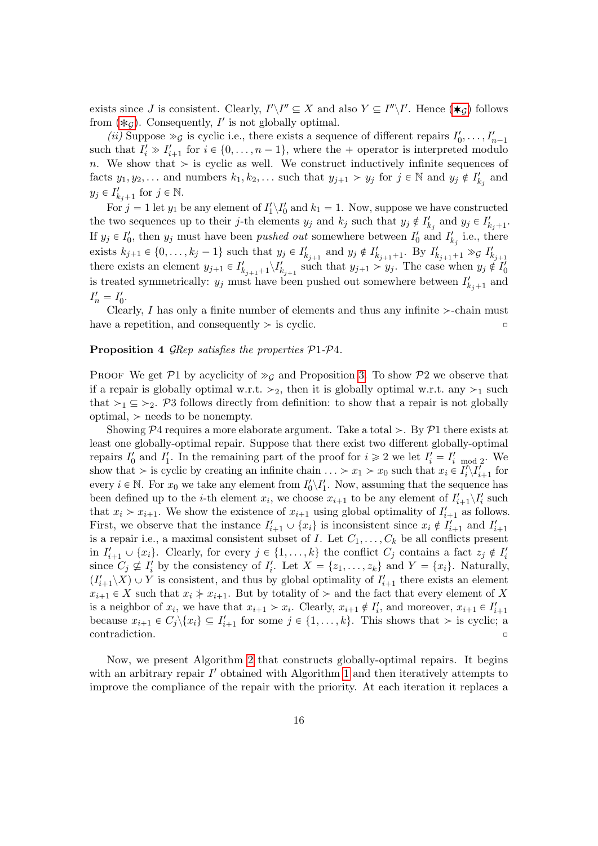exists since J is consistent. Clearly,  $I'\_I'' \subseteq X$  and also  $Y \subseteq I''\_I'$ . Hence  $(\ast_{\mathcal{G}})$  follows from  $(*g)$ . Consequently, I' is not globally optimal.

(*ii*) Suppose  $\gg g$  is cyclic i.e., there exists a sequence of different repairs  $I'_0, \ldots, I'_{n-1}$ such that  $I'_i \gg I'_{i+1}$  for  $i \in \{0, \ldots, n-1\}$ , where the + operator is interpreted modulo n. We show that  $>$  is cyclic as well. We construct inductively infinite sequences of facts  $y_1, y_2, \ldots$  and numbers  $k_1, k_2, \ldots$  such that  $y_{j+1} > y_j$  for  $j \in \mathbb{N}$  and  $y_j \notin I'_{k_j}$  and  $y_j \in I'_{k_j+1}$  for  $j \in \mathbb{N}$ .

For  $j = 1$  let  $y_1$  be any element of  $I'_1 \backslash I'_0$  and  $k_1 = 1$ . Now, suppose we have constructed the two sequences up to their j-th elements  $y_j$  and  $k_j$  such that  $y_j \notin I'_{k_j}$  and  $y_j \in I'_{k_j+1}$ . If  $y_j \in I'_0$ , then  $y_j$  must have been *pushed out* somewhere between  $I'_0$  and  $I'_{k_j}$  i.e., there exists  $k_{j+1} \in \{0, \ldots, k_j - 1\}$  such that  $y_j \in I'_{k_{j+1}}$  and  $y_j \notin I'_{k_{j+1}+1}$ . By  $I'_{k_{j+1}+1} \gg g I'_{k_{j+1}}$ there exists an element  $y_{j+1} \in I'_{k_{j+1}+1} \backslash I'_{k_{j+1}}$  such that  $y_{j+1} > y_j$ . The case when  $y_j \notin I'_0$ is treated symmetrically:  $y_j$  must have been pushed out somewhere between  $I'_{k_j+1}$  and  $I'_n = I'_0.$ 

Clearly, I has only a finite number of elements and thus any infinite  $\ge$ -chain must have a repetition, and consequently  $>$  is cyclic.

#### Proposition 4 GRep satisfies the properties  $P1-P4$ .

PROOF We get P1 by acyclicity of  $\gg_G$  and Proposition 3. To show P2 we observe that if a repair is globally optimal w.r.t.  $>_2$ , then it is globally optimal w.r.t. any  $>_1$  such that  $\geq_1 \subseteq \geq_2$ . P3 follows directly from definition: to show that a repair is not globally optimal,  $\geq$  needs to be nonempty.

Showing  $\mathcal{P}4$  requires a more elaborate argument. Take a total  $>$ . By  $\mathcal{P}1$  there exists at least one globally-optimal repair. Suppose that there exist two different globally-optimal repairs  $I'_0$  and  $I'_1$ . In the remaining part of the proof for  $i \geq 2$  we let  $I'_i = I'_{i \mod 2}$ . We show that  $\geq$  is cyclic by creating an infinite chain  $\ldots \geq x_1 \geq x_0$  such that  $x_i \in I'_i \setminus I'_{i+1}$  for every  $i \in \mathbb{N}$ . For  $x_0$  we take any element from  $I'_0 \setminus I'_1$ . Now, assuming that the sequence has been defined up to the *i*-th element  $x_i$ , we choose  $x_{i+1}$  to be any element of  $I'_{i+1} \setminus I'_i$  such that  $x_i > x_{i+1}$ . We show the existence of  $x_{i+1}$  using global optimality of  $I'_{i+1}$  as follows. First, we observe that the instance  $I'_{i+1} \cup \{x_i\}$  is inconsistent since  $x_i \notin I'_{i+1}$  and  $I'_{i+1}$ is a repair i.e., a maximal consistent subset of I. Let  $C_1, \ldots, C_k$  be all conflicts present in  $I'_{i+1} \cup \{x_i\}$ . Clearly, for every  $j \in \{1, ..., k\}$  the conflict  $C_j$  contains a fact  $z_j \notin I'_i$ since  $C_j \nsubseteq I'_i$  by the consistency of  $I'_i$ . Let  $X = \{z_1, \ldots, z_k\}$  and  $Y = \{x_i\}$ . Naturally,  $(I'_{i+1}\backslash X)\cup Y$  is consistent, and thus by global optimality of  $I'_{i+1}$  there exists an element  $x_{i+1} \in X$  such that  $x_i \nless x_{i+1}$ . But by totality of  $\gt$  and the fact that every element of X is a neighbor of  $x_i$ , we have that  $x_{i+1} > x_i$ . Clearly,  $x_{i+1} \notin I'_i$ , and moreover,  $x_{i+1} \in I'_{i+1}$ because  $x_{i+1} \in C_j \setminus \{x_i\} \subseteq I'_{i+1}$  for some  $j \in \{1, ..., k\}$ . This shows that  $>$  is cyclic; a  $\Box$ contradiction.  $\Box$ 

Now, we present Algorithm 2 that constructs globally-optimal repairs. It begins with an arbitrary repair  $I'$  obtained with Algorithm 1 and then iteratively attempts to improve the compliance of the repair with the priority. At each iteration it replaces a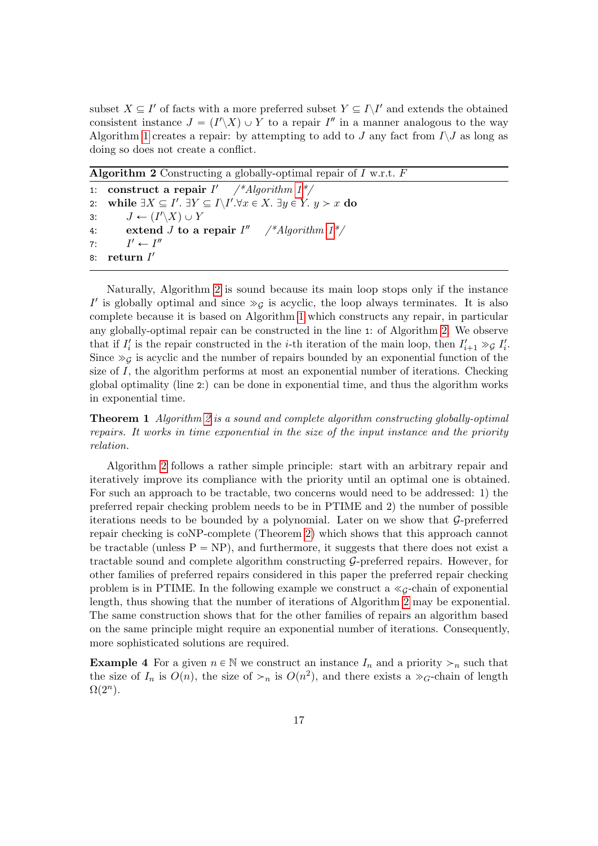subset  $X \subseteq I'$  of facts with a more preferred subset  $Y \subseteq I \setminus I'$  and extends the obtained consistent instance  $J = (I' \ X) \cup Y$  to a repair  $I''$  in a manner analogous to the way Algorithm 1 creates a repair: by attempting to add to J any fact from  $I\setminus J$  as long as doing so does not create a conflict.

**Algorithm 2** Constructing a globally-optimal repair of  $I$  w.r.t.  $F$ 

1: construct a repair  $I'$  /\*Algorithm  $1^*/$ 2: while  $\exists X \subseteq I'$ .  $\exists Y \subseteq I \setminus I'$ .  $\forall x \in X$ .  $\exists y \in Y$ .  $y > x$  do 3:  $J \leftarrow (I'\backslash X) \cup Y$ 4: extend *J* to a repair  $I''$  /\*Algorithm  $1^*/$  $7:$  $l' \leftarrow l''$ 8: return  $I'$ 

Naturally, Algorithm 2 is sound because its main loop stops only if the instance I' is globally optimal and since  $\gg_{\mathcal{G}}$  is acyclic, the loop always terminates. It is also complete because it is based on Algorithm 1 which constructs any repair, in particular any globally-optimal repair can be constructed in the line 1: of Algorithm 2. We observe that if  $I'_i$  is the repair constructed in the *i*-th iteration of the main loop, then  $I'_{i+1} \gg g I'_i$ . Since  $\gg g$  is acyclic and the number of repairs bounded by an exponential function of the size of  $I$ , the algorithm performs at most an exponential number of iterations. Checking global optimality (line 2:) can be done in exponential time, and thus the algorithm works in exponential time.

Theorem 1 Algorithm 2 is a sound and complete algorithm constructing globally-optimal repairs. It works in time exponential in the size of the input instance and the priority relation.

Algorithm 2 follows a rather simple principle: start with an arbitrary repair and iteratively improve its compliance with the priority until an optimal one is obtained. For such an approach to be tractable, two concerns would need to be addressed: 1) the preferred repair checking problem needs to be in PTIME and 2) the number of possible iterations needs to be bounded by a polynomial. Later on we show that G-preferred repair checking is coNP-complete (Theorem 2) which shows that this approach cannot be tractable (unless  $P = NP$ ), and furthermore, it suggests that there does not exist a tractable sound and complete algorithm constructing G-preferred repairs. However, for other families of preferred repairs considered in this paper the preferred repair checking problem is in PTIME. In the following example we construct a  $\ll_{G}$ -chain of exponential length, thus showing that the number of iterations of Algorithm 2 may be exponential. The same construction shows that for the other families of repairs an algorithm based on the same principle might require an exponential number of iterations. Consequently, more sophisticated solutions are required.

**Example 4** For a given  $n \in \mathbb{N}$  we construct an instance  $I_n$  and a priority  $\geq_n$  such that the size of  $I_n$  is  $O(n)$ , the size of  $\gt_n$  is  $O(n^2)$ , and there exists a  $\gt_{G}$ -chain of length  $\Omega(2^n)$ .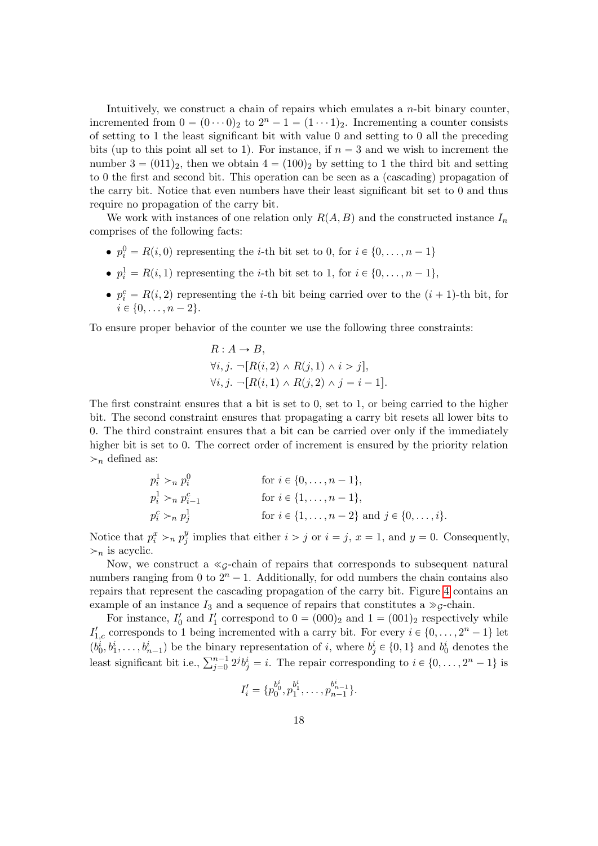Intuitively, we construct a chain of repairs which emulates a  $n$ -bit binary counter, incremented from  $0 = (0 \cdots 0)_2$  to  $2^n - 1 = (1 \cdots 1)_2$ . Incrementing a counter consists of setting to 1 the least significant bit with value 0 and setting to 0 all the preceding bits (up to this point all set to 1). For instance, if  $n = 3$  and we wish to increment the number  $3 = (011)_2$ , then we obtain  $4 = (100)_2$  by setting to 1 the third bit and setting to 0 the first and second bit. This operation can be seen as a (cascading) propagation of the carry bit. Notice that even numbers have their least significant bit set to 0 and thus require no propagation of the carry bit.

We work with instances of one relation only  $R(A, B)$  and the constructed instance  $I_n$ comprises of the following facts:

- $p_i^0 = R(i, 0)$  representing the *i*-th bit set to 0, for  $i \in \{0, ..., n 1\}$
- $p_i^1 = R(i, 1)$  representing the *i*-th bit set to 1, for  $i \in \{0, ..., n 1\}$ ,
- $p_i^c = R(i, 2)$  representing the *i*-th bit being carried over to the  $(i + 1)$ -th bit, for  $i \in \{0, \ldots, n - 2\}.$

To ensure proper behavior of the counter we use the following three constraints:

$$
R: A \to B,
$$
  
\n
$$
\forall i, j. \neg [R(i, 2) \land R(j, 1) \land i > j],
$$
  
\n
$$
\forall i, j. \neg [R(i, 1) \land R(j, 2) \land j = i - 1].
$$

The first constraint ensures that a bit is set to 0, set to 1, or being carried to the higher bit. The second constraint ensures that propagating a carry bit resets all lower bits to 0. The third constraint ensures that a bit can be carried over only if the immediately higher bit is set to 0. The correct order of increment is ensured by the priority relation  $\geq_n$  defined as:

$$
p_i^1 >_n p_i^0
$$
 for  $i \in \{0, ..., n-1\}$ ,  
\n
$$
p_i^1 >_n p_{i-1}^c
$$
 for  $i \in \{1, ..., n-1\}$ ,  
\n
$$
p_i^c >_n p_j^1
$$
 for  $i \in \{1, ..., n-2\}$  and  $j \in \{0, ..., i\}$ .

Notice that  $p_i^x >_n p_j^y$  $j_j^y$  implies that either  $i > j$  or  $i = j$ ,  $x = 1$ , and  $y = 0$ . Consequently,  $\succ_n$  is acyclic.

Now, we construct a  $\ll$ <sub>G</sub>-chain of repairs that corresponds to subsequent natural numbers ranging from 0 to  $2^n - 1$ . Additionally, for odd numbers the chain contains also repairs that represent the cascading propagation of the carry bit. Figure 4 contains an example of an instance  $I_3$  and a sequence of repairs that constitutes a  $\gg$ <sub>G</sub>-chain.

For instance,  $I'_0$  and  $I'_1$  correspond to  $0 = (000)_2$  and  $1 = (001)_2$  respectively while  $I'_{1,c}$  corresponds to 1 being incremented with a carry bit. For every  $i \in \{0, \ldots, 2^n - 1\}$  let  $(b_0^i, b_1^i, \ldots, b_{n-1}^i)$  be the binary representation of i, where  $b_j^i \in \{0, 1\}$  and  $b_0^i$  denotes the  $(\nu_0, \nu_1, \ldots, \nu_{n-1})$  be the binary representation of *i*, where  $\nu_j \in \{0, 1\}$  and  $\nu_0$  denotes the least significant bit i.e.,  $\sum_{j=0}^{n-1} 2^j b_j^i = i$ . The repair corresponding to  $i \in \{0, \ldots, 2^n - 1\}$  is

$$
I'_{i} = \{p_0^{b_0^i}, p_1^{b_1^i}, \ldots, p_{n-1}^{b_{n-1}^i}\}.
$$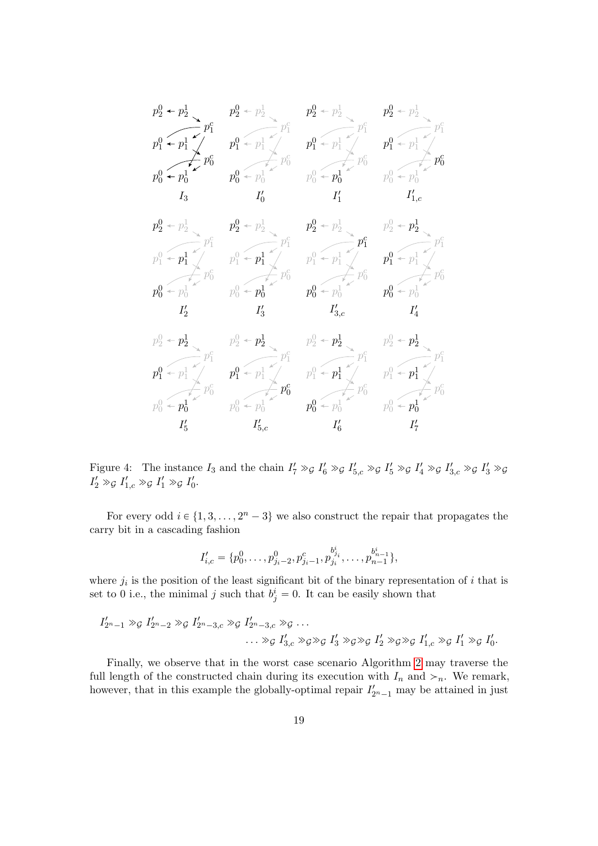

Figure 4: The instance  $I_3$  and the chain  $I'_7 \gg g I'_6 \gg g I'_{5,c} \gg g I'_5 \gg g I'_4 \gg g I'_{3,c} \gg g I'_3 \gg g$  $I'_2 \gg_{\mathcal{G}} I'_{1,c} \gg_{\mathcal{G}} I'_1 \gg_{\mathcal{G}} I'_0.$ 

For every odd  $i \in \{1, 3, ..., 2<sup>n</sup> - 3\}$  we also construct the repair that propagates the carry bit in a cascading fashion

$$
I'_{i,c} = \{p_0^0, \ldots, p_{j_i-2}^0, p_{j_i-1}^c, p_{j_i}^{b_{j_i}^i}, \ldots, p_{n-1}^{b_{n-1}^i}\},\
$$

where  $j_i$  is the position of the least significant bit of the binary representation of i that is set to 0 i.e., the minimal j such that  $b_j^i = 0$ . It can be easily shown that

$$
I'_{2^{n}-1} \gg_{\mathcal{G}} I'_{2^{n}-2} \gg_{\mathcal{G}} I'_{2^{n}-3,c} \gg_{\mathcal{G}} I'_{2^{n}-3,c} \gg_{\mathcal{G}} \dots
$$
  

$$
\dots \gg_{\mathcal{G}} I'_{3,c} \gg_{\mathcal{G}} \gg_{\mathcal{G}} I'_{3} \gg_{\mathcal{G}} \gg_{\mathcal{G}} I'_{2} \gg_{\mathcal{G}} \gg_{\mathcal{G}} I'_{1,c} \gg_{\mathcal{G}} I'_{1} \gg_{\mathcal{G}} I'_{0}.
$$

Finally, we observe that in the worst case scenario Algorithm 2 may traverse the full length of the constructed chain during its execution with  $I_n$  and  $\gt_n$ . We remark, however, that in this example the globally-optimal repair  $I'_{2^{n}-1}$  may be attained in just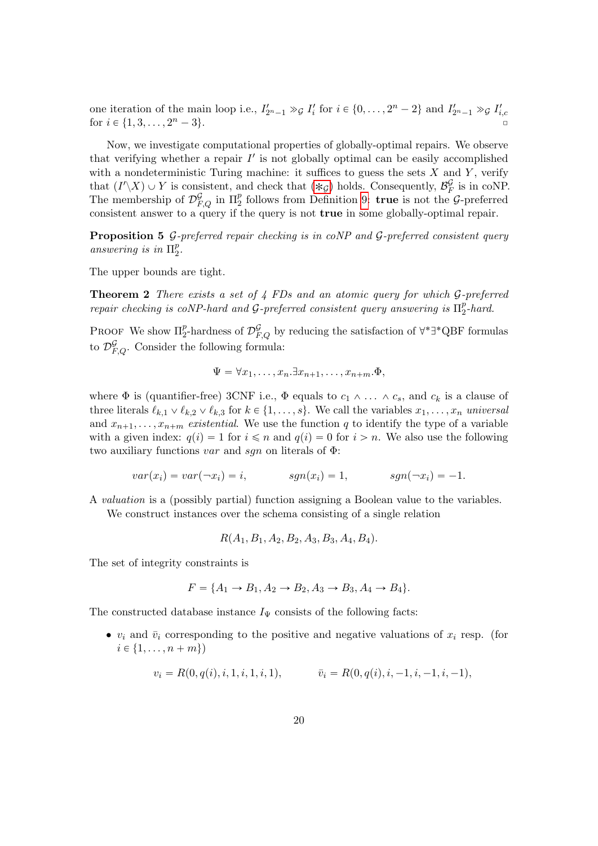one iteration of the main loop i.e.,  $I'_{2n-1} \gg g I'_i$  for  $i \in \{0, \ldots, 2^n - 2\}$  and  $I'_{2n-1} \gg g I'_{i,c}$  for  $i \in \{1, 3, \ldots, 2^n - 3\}$ . for  $i \in \{1, 3, \ldots, 2^n - 3\}.$ 

Now, we investigate computational properties of globally-optimal repairs. We observe that verifying whether a repair  $I'$  is not globally optimal can be easily accomplished with a nondeterministic Turing machine: it suffices to guess the sets  $X$  and  $Y$ , verify that  $(I'\_X) \cup Y$  is consistent, and check that  $(*_{\mathcal{G}})$  holds. Consequently,  $\mathcal{B}_F^{\mathcal{G}}$  $E_F^{\mathcal{G}}$  is in coNP. The membership of  $\mathcal{D}_{F,Q}^{\mathcal{G}}$  in  $\Pi_2^p$  follows from Definition 9: true is not the  $\mathcal{G}$ -preferred consistent answer to a query if the query is not true in some globally-optimal repair.

**Proposition 5**  $\mathcal{G}\text{-}$  preferred repair checking is in coNP and  $\mathcal{G}\text{-}$  preferred consistent query answering is in  $\Pi_2^p$  $\frac{p}{2}$ .

The upper bounds are tight.

Theorem 2 There exists a set of 4 FDs and an atomic query for which G-preferred repair checking is coNP-hard and  $\mathcal G$ -preferred consistent query answering is  $\Pi^p_2$  $\frac{p}{2}$ -hard.

PROOF We show  $\Pi_2^p$ -hardness of  $\mathcal{D}_{F,Q}^{\mathcal{G}}$  by reducing the satisfaction of  $\forall^*\exists^*QBF$  formulas to  $\mathcal{D}_{F,Q}^{\mathcal{G}}$ . Consider the following formula:

$$
\Psi = \forall x_1, \dots, x_n. \exists x_{n+1}, \dots, x_{n+m}. \Phi,
$$

where  $\Phi$  is (quantifier-free) 3CNF i.e.,  $\Phi$  equals to  $c_1 \wedge \ldots \wedge c_s$ , and  $c_k$  is a clause of three literals  $\ell_{k,1} \vee \ell_{k,2} \vee \ell_{k,3}$  for  $k \in \{1, \ldots, s\}$ . We call the variables  $x_1, \ldots, x_n$  universal and  $x_{n+1}, \ldots, x_{n+m}$  existential. We use the function q to identify the type of a variable with a given index:  $q(i) = 1$  for  $i \leq n$  and  $q(i) = 0$  for  $i > n$ . We also use the following two auxiliary functions var and sqn on literals of  $\Phi$ :

$$
var(x_i) = var(\neg x_i) = i, \qquad sgn(x_i) = 1, \qquad sgn(\neg x_i) = -1.
$$

A valuation is a (possibly partial) function assigning a Boolean value to the variables. We construct instances over the schema consisting of a single relation

$$
R(A_1, B_1, A_2, B_2, A_3, B_3, A_4, B_4).
$$

The set of integrity constraints is

$$
F = \{A_1 \to B_1, A_2 \to B_2, A_3 \to B_3, A_4 \to B_4\}.
$$

The constructed database instance  $I_{\Psi}$  consists of the following facts:

•  $v_i$  and  $\bar{v}_i$  corresponding to the positive and negative valuations of  $x_i$  resp. (for  $i \in \{1, \ldots, n + m\}$ 

$$
v_i = R(0, q(i), i, 1, i, 1, i, 1), \qquad \overline{v}_i = R(0, q(i), i, -1, i, -1, i, -1),
$$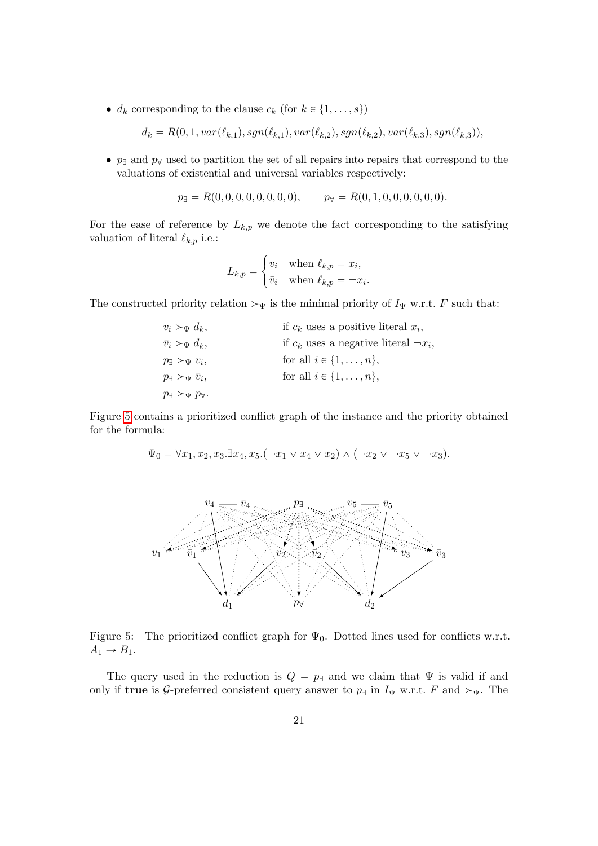•  $d_k$  corresponding to the clause  $c_k$  (for  $k \in \{1, \ldots, s\}$ )

 $d_k = R(0, 1, var(\ell_{k,1}), sgn(\ell_{k,1}), var(\ell_{k,2}), sgn(\ell_{k,2}), var(\ell_{k,3}), sgn(\ell_{k,3})),$ 

•  $p_{\exists}$  and  $p_{\forall}$  used to partition the set of all repairs into repairs that correspond to the valuations of existential and universal variables respectively:

$$
p_{\exists} = R(0, 0, 0, 0, 0, 0, 0, 0), \qquad p_{\forall} = R(0, 1, 0, 0, 0, 0, 0, 0).
$$

For the ease of reference by  $L_{k,p}$  we denote the fact corresponding to the satisfying valuation of literal  $\ell_{k,p}$  i.e.:

$$
L_{k,p} = \begin{cases} v_i & \text{when } \ell_{k,p} = x_i, \\ \bar{v}_i & \text{when } \ell_{k,p} = -x_i. \end{cases}
$$

#

The constructed priority relation  $\mathcal{V}_{\Psi}$  is the minimal priority of  $I_{\Psi}$  w.r.t. F such that:

| $v_i > \Psi d_k$                     | if $c_k$ uses a positive literal $x_i$ ,      |
|--------------------------------------|-----------------------------------------------|
| $\bar{v}_i >_{\Psi} d_k,$            | if $c_k$ uses a negative literal $\neg x_i$ , |
| $p_{\exists} >_{\Psi} v_i$           | for all $i \in \{1, \ldots, n\},\$            |
| $p_{\exists} >_{\Psi} v_i,$          | for all $i \in \{1, \ldots, n\}$ ,            |
| $p_{\exists} >_{\Psi} p_{\forall}$ . |                                               |

Figure 5 contains a prioritized conflict graph of the instance and the priority obtained for the formula:

$$
\Psi_0 = \forall x_1, x_2, x_3. \exists x_4, x_5. (\neg x_1 \lor x_4 \lor x_2) \land (\neg x_2 \lor \neg x_5 \lor \neg x_3).
$$



Figure 5: The prioritized conflict graph for  $\Psi_0$ . Dotted lines used for conflicts w.r.t.  $A_1 \rightarrow B_1.$ 

The query used in the reduction is  $Q = p_{\text{B}}$  and we claim that  $\Psi$  is valid if and only if true is G-preferred consistent query answer to  $p_{\exists}$  in  $I_{\Psi}$  w.r.t. F and  $\succ_{\Psi}$ . The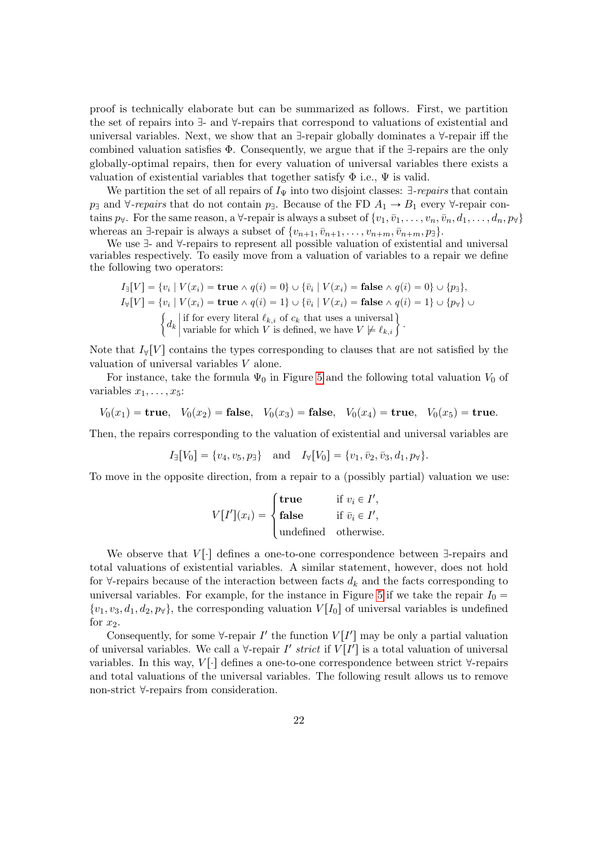proof is technically elaborate but can be summarized as follows. First, we partition the set of repairs into  $\exists$ - and  $\forall$ -repairs that correspond to valuations of existential and universal variables. Next, we show that an  $\exists$ -repair globally dominates a  $\forall$ -repair iff the combined valuation satisfies  $\Phi$ . Consequently, we argue that if the  $\exists$ -repairs are the only globally-optimal repairs, then for every valuation of universal variables there exists a valuation of existential variables that together satisfy  $\Phi$  i.e.,  $\Psi$  is valid.

We partition the set of all repairs of  $I_{\Psi}$  into two disjoint classes:  $\exists$ -repairs that contain  $p_{\exists}$  and  $\forall$ -repairs that do not contain  $p_{\exists}$ . Because of the FD  $A_1 \rightarrow B_1$  every  $\forall$ -repair contains  $p_\forall$ . For the same reason, a  $\forall$ -repair is always a subset of  $\{v_1, \overline{v}_1, \ldots, v_n, \overline{v}_n, d_1, \ldots, d_n, p_\forall\}$ whereas an  $\exists$ -repair is always a subset of  $\{v_{n+1}, \overline{v}_{n+1}, \ldots, v_{n+m}, \overline{v}_{n+m}, p_{\exists}\}.$ 

We use  $\exists$ - and  $\forall$ -repairs to represent all possible valuation of existential and universal variables respectively. To easily move from a valuation of variables to a repair we define the following two operators:

$$
I_{\exists}[V] = \{v_i \mid V(x_i) = \text{true} \land q(i) = 0\} \cup \{\bar{v}_i \mid V(x_i) = \text{false} \land q(i) = 0\} \cup \{p_{\exists}\},
$$
  
\n
$$
I_{\forall}[V] = \{v_i \mid V(x_i) = \text{true} \land q(i) = 1\} \cup \{\bar{v}_i \mid V(x_i) = \text{false} \land q(i) = 1\} \cup \{p_{\forall}\} \cup
$$
  
\n
$$
\left\{d_k \middle| \text{with } V \text{ is defined, we have } V \not\models \ell_{k,i} \right\}.
$$

Note that  $I_Y[V]$  contains the types corresponding to clauses that are not satisfied by the valuation of universal variables V alone.

For instance, take the formula  $\Psi_0$  in Figure 5 and the following total valuation  $V_0$  of variables  $x_1, \ldots, x_5$ :

$$
V_0(x_1)
$$
 = true,  $V_0(x_2)$  = false,  $V_0(x_3)$  = false,  $V_0(x_4)$  = true,  $V_0(x_5)$  = true.

Then, the repairs corresponding to the valuation of existential and universal variables are

$$
I_{\exists}[V_0] = \{v_4, v_5, p_{\exists}\}\
$$
 and  $I_{\forall}[V_0] = \{v_1, \bar{v}_2, \bar{v}_3, d_1, p_{\forall}\}.$ 

To move in the opposite direction, from a repair to a (possibly partial) valuation we use: **\$100 million** 

$$
V[I'](x_i) = \begin{cases} \textbf{true} & \text{if } v_i \in I', \\ \textbf{false} & \text{if } \bar{v}_i \in I', \\ \text{undefined} & \text{otherwise.} \end{cases}
$$

We observe that  $V[\cdot]$  defines a one-to-one correspondence between  $\exists$ -repairs and total valuations of existential variables. A similar statement, however, does not hold for  $\forall$ -repairs because of the interaction between facts  $d_k$  and the facts corresponding to universal variables. For example, for the instance in Figure 5 if we take the repair  $I_0 =$  $\{v_1, v_3, d_1, d_2, p_{\forall}\}\$ , the corresponding valuation  $V[I_0]$  of universal variables is undefined for  $x_2$ .

Consequently, for some  $\forall$ -repair I' the function  $V[I']$  may be only a partial valuation of universal variables. We call a  $\forall$ -repair  $I'$  strict if  $V[I']$  is a total valuation of universal variables. In this way,  $V[\cdot]$  defines a one-to-one correspondence between strict  $\forall$ -repairs and total valuations of the universal variables. The following result allows us to remove non-strict  $\forall$ -repairs from consideration.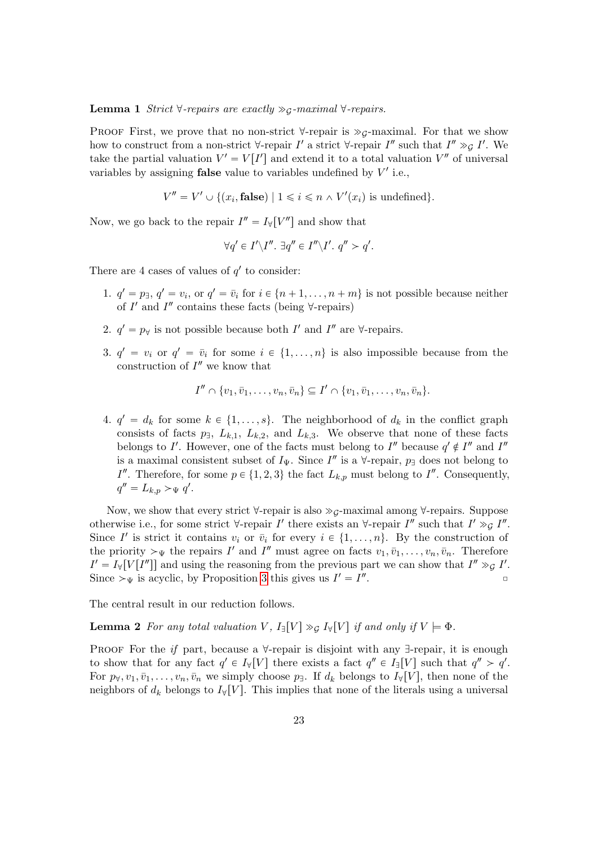**Lemma 1** Strict  $\forall$ -repairs are exactly  $\gg$ <sub>G</sub>-maximal  $\forall$ -repairs.

PROOF First, we prove that no non-strict  $\forall$ -repair is  $\gg g$ -maximal. For that we show how to construct from a non-strict  $\forall$ -repair  $I'$  a strict  $\forall$ -repair  $I''$  such that  $I'' \gg g I'$ . We take the partial valuation  $V' = V[I']$  and extend it to a total valuation  $V''$  of universal variables by assigning **false** value to variables undefined by  $V'$  i.e.,

$$
V'' = V' \cup \{(x_i, \text{false}) \mid 1 \leq i \leq n \land V'(x_i) \text{ is undefined}\}.
$$

Now, we go back to the repair  $I'' = I_{\forall}[V'']$  and show that

$$
\forall q' \in I' \backslash I''. \; \exists q'' \in I'' \backslash I'. \; q'' > q'.
$$

There are 4 cases of values of  $q'$  to consider:

- 1.  $q' = p_{\exists}$ ,  $q' = v_i$ , or  $q' = \overline{v}_i$  for  $i \in \{n+1, \ldots, n+m\}$  is not possible because neither of  $I'$  and  $I''$  contains these facts (being  $\forall$ -repairs)
- 2.  $q' = p_{\forall}$  is not possible because both I' and I'' are  $\forall$ -repairs.
- 3.  $q' = v_i$  or  $q' = \bar{v}_i$  for some  $i \in \{1, ..., n\}$  is also impossible because from the construction of  $I''$  we know that

$$
I'' \cap \{v_1, \overline{v}_1, \dots, v_n, \overline{v}_n\} \subseteq I' \cap \{v_1, \overline{v}_1, \dots, v_n, \overline{v}_n\}.
$$

4.  $q' = d_k$  for some  $k \in \{1, ..., s\}$ . The neighborhood of  $d_k$  in the conflict graph consists of facts  $p_1$ ,  $L_{k,1}$ ,  $L_{k,2}$ , and  $L_{k,3}$ . We observe that none of these facts belongs to I'. However, one of the facts must belong to I'' because  $q' \notin I''$  and I'' is a maximal consistent subset of  $I_{\Psi}$ . Since  $I''$  is a  $\forall$ -repair,  $p_{\exists}$  does not belong to I''. Therefore, for some  $p \in \{1, 2, 3\}$  the fact  $L_{k,p}$  must belong to I''. Consequently,  $q'' = L_{k,p} >_{\Psi} q'.$ 

Now, we show that every strict  $\forall$ -repair is also  $\gg$ <sub>G</sub>-maximal among  $\forall$ -repairs. Suppose otherwise i.e., for some strict  $\forall$ -repair I' there exists an  $\forall$ -repair I'' such that I'  $\gg g I''$ . Since I' is strict it contains  $v_i$  or  $\overline{v}_i$  for every  $i \in \{1, \ldots, n\}$ . By the construction of the priority  $\succ_{\Psi}$  the repairs I' and I'' must agree on facts  $v_1, \bar{v}_1, \ldots, v_n, \bar{v}_n$ . Therefore  $I' = I_{\forall}[V[I'']]$  and using the reasoning from the previous part we can show that  $I'' \gg g I'$ . Since  $\mathcal{L}_{\Psi}$  is acyclic, by Proposition 3 this gives us  $I' = I''$  $\overline{a}$   $\overline{a}$   $\overline{a}$   $\overline{a}$   $\overline{a}$   $\overline{a}$   $\overline{a}$   $\overline{a}$   $\overline{a}$   $\overline{a}$   $\overline{a}$   $\overline{a}$   $\overline{a}$   $\overline{a}$   $\overline{a}$   $\overline{a}$   $\overline{a}$   $\overline{a}$   $\overline{a}$   $\overline{a}$   $\overline{a}$   $\overline{a}$   $\overline{a}$   $\overline{a}$   $\overline{$ 

The central result in our reduction follows.

**Lemma 2** For any total valuation V,  $I_{\exists}[V] \gg_{\mathcal{G}} I_{\forall}[V]$  if and only if  $V \models \Phi$ .

PROOF For the if part, because a  $\forall$ -repair is disjoint with any  $\exists$ -repair, it is enough to show that for any fact  $q' \in I_{\forall}[V]$  there exists a fact  $q'' \in I_{\exists}[V]$  such that  $q'' > q'$ . For  $p_{\forall}, v_1, \bar{v}_1, \ldots, v_n, \bar{v}_n$  we simply choose  $p_{\exists}$ . If  $d_k$  belongs to  $I_{\forall}[V]$ , then none of the neighbors of  $d_k$  belongs to  $I_{\mathcal{V}}[V]$ . This implies that none of the literals using a universal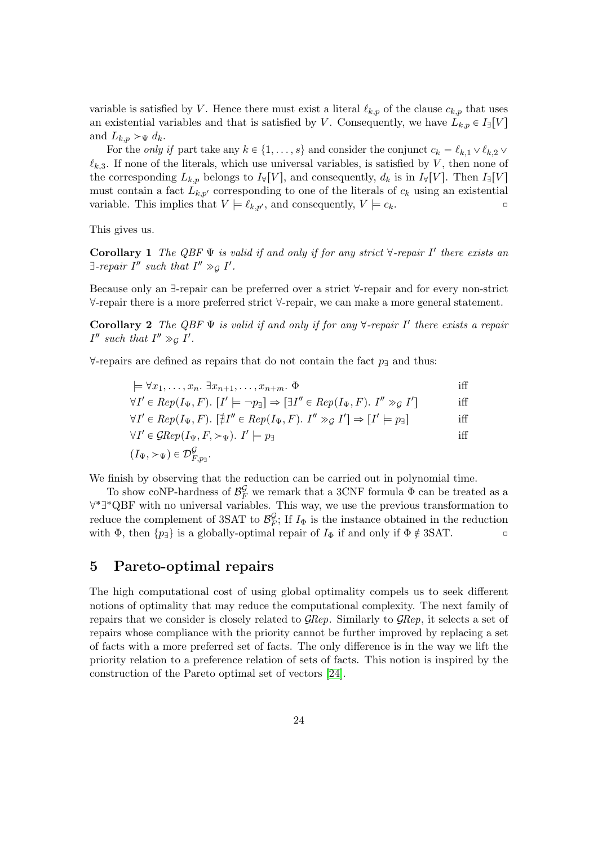variable is satisfied by V. Hence there must exist a literal  $\ell_{k,p}$  of the clause  $c_{k,p}$  that uses an existential variables and that is satisfied by V. Consequently, we have  $L_{k,p} \in I_{\exists}[V]$ and  $L_{k,p} >_{\Psi} d_k$ .

For the *only if* part take any  $k \in \{1, \ldots, s\}$  and consider the conjunct  $c_k = \ell_{k,1} \vee \ell_{k,2}$ .  $\ell_{k,3}$ . If none of the literals, which use universal variables, is satisfied by V, then none of the corresponding  $L_{k,p}$  belongs to  $I_{\forall}[V]$ , and consequently,  $d_k$  is in  $I_{\forall}[V]$ . Then  $I_{\exists}[V]$ must contain a fact  $L_{k,p'}$  corresponding to one of the literals of  $c_k$  using an existential variable. This implies that  $V \models \ell_{k,p'}$ , and consequently,  $V \models c_k$ .

This gives us.

**Corollary 1** The QBF  $\Psi$  is valid if and only if for any strict  $\forall$ -repair  $I'$  there exists an  $\exists$ -repair  $I''$  such that  $I'' \gg_{\mathcal{G}} I'.$ 

Because only an  $\exists$ -repair can be preferred over a strict  $\forall$ -repair and for every non-strict  $\forall$ -repair there is a more preferred strict  $\forall$ -repair, we can make a more general statement.

Corollary 2 The QBF  $\Psi$  is valid if and only if for any  $\forall$ -repair I' there exists a repair  $I''$  such that  $I'' \gg_{\mathcal{G}} I'.$ 

 $\forall$ -repairs are defined as repairs that do not contain the fact  $p_1$  and thus:

| $\models \forall x_1,\ldots,x_n. \exists x_{n+1},\ldots,x_{n+m}. \Phi$                                                                          |     |
|-------------------------------------------------------------------------------------------------------------------------------------------------|-----|
| $\forall I' \in Rep(I_{\Psi}, F)$ . $[I' \models \neg p_{\exists}] \Rightarrow [\exists I'' \in Rep(I_{\Psi}, F)$ . $I'' \gg_{\mathcal{G}} I']$ | iff |
| $\forall I' \in Rep(I_{\Psi}, F)$ . $[\nexists I'' \in Rep(I_{\Psi}, F)$ . $I'' \gg_G I'] \Rightarrow [I' \models p_{\exists}]$                 | iff |
| $\forall I' \in \mathcal{G} Rep(I_{\Psi}, F, \succ_{\Psi}).$ $I' \models p_{\exists}$                                                           | iff |
| $(I_{\Psi},\succ_{\Psi})\in\mathcal{D}_{F,n}^{\mathcal{G}}.$                                                                                    |     |

We finish by observing that the reduction can be carried out in polynomial time.

To show coNP-hardness of  $\mathcal{B}_F^{\mathcal{G}}$  we remark that a 3CNF formula  $\Phi$  can be treated as a ∀\*∃\*QBF with no universal variables. This way, we use the previous transformation to reduce the complement of 3SAT to  $\mathcal{B}_F^{\mathcal{G}}$  $\frac{G}{F}$ ; If  $I_{\Phi}$  is the instance obtained in the reduction with  $\Phi$ , then  $\{p_{\exists}\}\$ is a globally-optimal repair of  $I_{\Phi}$  if and only if  $\Phi \notin 3SAT$ .

## 5 Pareto-optimal repairs

The high computational cost of using global optimality compels us to seek different notions of optimality that may reduce the computational complexity. The next family of repairs that we consider is closely related to  $\mathcal{G} Rep$ . Similarly to  $\mathcal{G} Rep$ , it selects a set of repairs whose compliance with the priority cannot be further improved by replacing a set of facts with a more preferred set of facts. The only difference is in the way we lift the priority relation to a preference relation of sets of facts. This notion is inspired by the construction of the Pareto optimal set of vectors [24].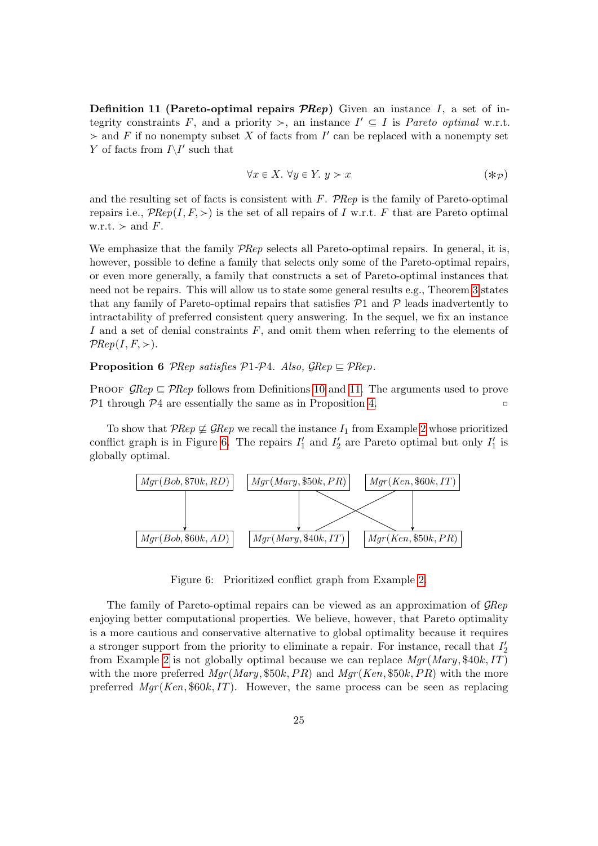**Definition 11 (Pareto-optimal repairs**  $\mathcal{P}$ **Rep)** Given an instance I, a set of integrity constraints F, and a priority  $\geq$ , an instance  $I' \subseteq I$  is Pareto optimal w.r.t.  $\geq$  and F if no nonempty subset X of facts from I' can be replaced with a nonempty set  $Y$  of facts from  $I\backslash I'$  such that

$$
\forall x \in X. \ \forall y \in Y. \ y > x \tag{*(p)}
$$

and the resulting set of facts is consistent with  $F$ . PRep is the family of Pareto-optimal repairs i.e.,  $P\text{Rep}(I, F, \geq)$  is the set of all repairs of I w.r.t. F that are Pareto optimal w.r.t.  $>$  and F.

We emphasize that the family  $\mathcal{P}$ Rep selects all Pareto-optimal repairs. In general, it is, however, possible to define a family that selects only some of the Pareto-optimal repairs, or even more generally, a family that constructs a set of Pareto-optimal instances that need not be repairs. This will allow us to state some general results e.g., Theorem 3 states that any family of Pareto-optimal repairs that satisfies  $P1$  and  $P$  leads inadvertently to intractability of preferred consistent query answering. In the sequel, we fix an instance I and a set of denial constraints F, and omit them when referring to the elements of  $PRep(I, F, >)$ .

**Proposition 6** PRep satisfies  $P1-P4$ . Also,  $\mathcal{G}Rep \subseteq \mathcal{P}Rep$ .

PROOF  $\mathcal{G}Rep \subseteq \mathcal{P}Rep$  follows from Definitions 10 and 11. The arguments used to prove  $P1$  through  $P4$  are essentially the same as in Proposition 4.

To show that  $PRep \not\sqsubseteq \mathcal{G}Rep$  we recall the instance  $I_1$  from Example 2 whose prioritized conflict graph is in Figure 6. The repairs  $I'_1$  and  $I'_2$  are Pareto optimal but only  $I'_1$  is globally optimal.



Figure 6: Prioritized conflict graph from Example 2.

The family of Pareto-optimal repairs can be viewed as an approximation of GRep enjoying better computational properties. We believe, however, that Pareto optimality is a more cautious and conservative alternative to global optimality because it requires a stronger support from the priority to eliminate a repair. For instance, recall that  $I'_2$ from Example 2 is not globally optimal because we can replace  $Mgr(Mary, $40k, IT)$ with the more preferred  $Mgr(Mary, $50k, PR)$  and  $Mgr(Ken, $50k, PR)$  with the more preferred  $Mgr(Ken, $60k, IT)$ . However, the same process can be seen as replacing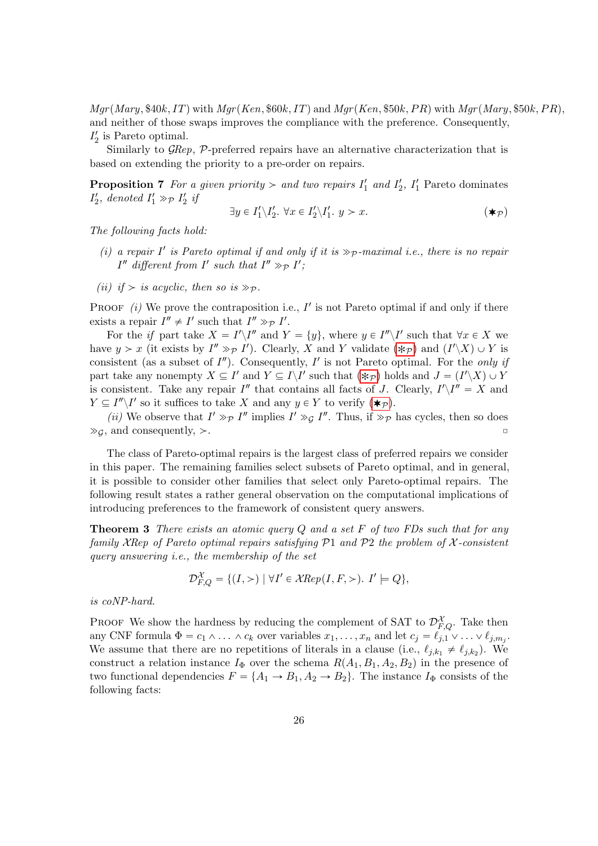$Mgr(Mary, $40k, IT)$  with  $Mgr(Ken, $60k, IT)$  and  $Mgr(Ken, $50k, PR)$  with  $Mgr(Mary, $50k, PR)$ , and neither of those swaps improves the compliance with the preference. Consequently,  $I'_2$  is Pareto optimal.

Similarly to GRep, P-preferred repairs have an alternative characterization that is based on extending the priority to a pre-order on repairs.

**Proposition 7** For a given priority  $>$  and two repairs  $I'_1$  and  $I'_2$ ,  $I'_1$  Pareto dominates  $I'_2$ , denoted  $I'_1 \gg_P I'_2$  if

$$
\exists y \in I'_1 \backslash I'_2. \ \forall x \in I'_2 \backslash I'_1. \ y > x. \tag{\bigstar}_{\mathcal{P}}\tag{}
$$

The following facts hold:

- (i) a repair  $I'$  is Pareto optimal if and only if it is  $\gg_{\mathcal{P}}$ -maximal i.e., there is no repair  $I''$  different from  $I'$  such that  $I'' \gg_P I'$ ;
- (ii) if  $>$  is acyclic, then so is  $\gg_{\mathcal{P}}$ .

PROOF  $(i)$  We prove the contraposition i.e., I' is not Pareto optimal if and only if there exists a repair  $I'' \neq I'$  such that  $I'' \gg_{\mathcal{P}} I'$ .

For the if part take  $X = I'\backslash I''$  and  $Y = \{y\}$ , where  $y \in I''\backslash I'$  such that  $\forall x \in X$  we have  $y > x$  (it exists by  $I'' \gg_{\mathcal{P}} I'$ ). Clearly, X and Y validate  $(\ast_{\mathcal{P}})$  and  $(I' \setminus X) \cup Y$  is consistent (as a subset of  $I''$ ). Consequently,  $I'$  is not Pareto optimal. For the only if part take any nonempty  $X \subseteq I'$  and  $Y \subseteq I\backslash I'$  such that  $(\ast_{\mathcal{P}})$  holds and  $J = (I'\backslash X) \cup Y$ is consistent. Take any repair  $I''$  that contains all facts of J. Clearly,  $I'\_I'' = X$  and  $Y \subseteq I''\backslash I'$  so it suffices to take X and any  $y \in Y$  to verify  $(\star_{\mathcal{P}})$ .

(*ii*) We observe that  $I' \gg_{\mathcal{P}} I''$  implies  $I' \gg_{\mathcal{G}} I''$ . Thus, if  $\gg_{\mathcal{P}}$  has cycles, then so does  $\gg_G$ , and consequently,  $\gt$ .

The class of Pareto-optimal repairs is the largest class of preferred repairs we consider in this paper. The remaining families select subsets of Pareto optimal, and in general, it is possible to consider other families that select only Pareto-optimal repairs. The following result states a rather general observation on the computational implications of introducing preferences to the framework of consistent query answers.

**Theorem 3** There exists an atomic query  $Q$  and a set  $F$  of two FDs such that for any family XRep of Pareto optimal repairs satisfying  $P1$  and  $P2$  the problem of X-consistent query answering i.e., the membership of the set

$$
\mathcal{D}_{F,Q}^{\mathcal{X}} = \{ (I,>) \mid \forall I' \in \mathcal{X} Rep(I, F,>) \colon I' \models Q \},
$$

is coNP-hard.

PROOF We show the hardness by reducing the complement of SAT to  $\mathcal{D}_{F,Q}^{\mathcal{X}}$ . Take then any CNF formula  $\Phi = c_1 \wedge \ldots \wedge c_k$  over variables  $x_1, \ldots, x_n$  and let  $c_j = \ell_{j,1} \vee \ldots \vee \ell_{j,m_j}$ . We assume that there are no repetitions of literals in a clause (i.e.,  $\ell_{j,k_1} \neq \ell_{j,k_2}$ ). We construct a relation instance  $I_{\Phi}$  over the schema  $R(A_1, B_1, A_2, B_2)$  in the presence of two functional dependencies  $F = \{A_1 \rightarrow B_1, A_2 \rightarrow B_2\}$ . The instance  $I_{\Phi}$  consists of the following facts: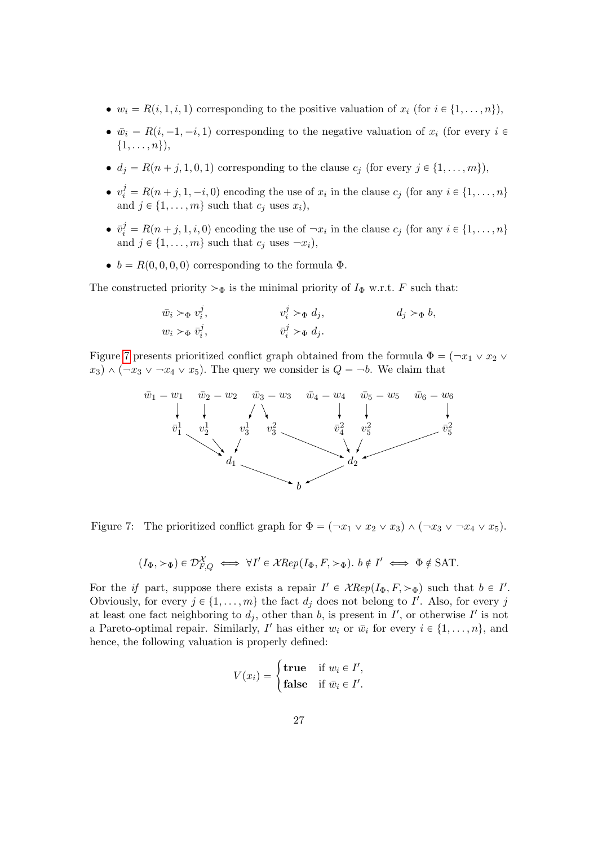- $w_i = R(i, 1, i, 1)$  corresponding to the positive valuation of  $x_i$  (for  $i \in \{1, \ldots, n\}$ ),
- $\bar{w}_i = R(i, -1, -i, 1)$  corresponding to the negative valuation of  $x_i$  (for every  $i \in$  $\{1, \ldots, n\},\$
- $d_j = R(n + j, 1, 0, 1)$  corresponding to the clause  $c_j$  (for every  $j \in \{1, \ldots, m\}$ ),
- $v_i^j = R(n+j, 1, -i, 0)$  encoding the use of  $x_i$  in the clause  $c_j$  (for any  $i \in \{1, ..., n\}$ and  $j \in \{1, \ldots, m\}$  such that  $c_j$  uses  $x_i$ ),
- $\bar{v}_i^j = R(n+j, 1, i, 0)$  encoding the use of  $\neg x_i$  in the clause  $c_j$  (for any  $i \in \{1, ..., n\}$ and  $j \in \{1, \ldots, m\}$  such that  $c_j$  uses  $\neg x_i$ ),
- $b = R(0, 0, 0, 0)$  corresponding to the formula  $\Phi$ .

The constructed priority  $>\Phi$  is the minimal priority of  $I_{\Phi}$  w.r.t. F such that:

$$
\begin{aligned}\n\bar{w}_i >_{\Phi} v_i^j, & v_i^j >_{\Phi} d_j, & d_j >_{\Phi} b, \\
w_i >_{\Phi} \bar{v}_i^j, & \bar{v}_i^j >_{\Phi} d_j.\n\end{aligned}
$$

Figure 7 presents prioritized conflict graph obtained from the formula  $\Phi = (\neg x_1 \lor x_2 \lor \neg x_3 \lor \neg x_4 \lor \neg x_5 \lor \neg x_5 \lor \neg x_6 \lor \neg x_7 \lor \neg x_8 \lor \neg x_9 \lor \neg x_1 \lor \neg x_2 \lor \neg x_4 \lor \neg x_5 \lor \neg x_6 \lor \neg x_7 \lor \neg x_8 \lor \neg x_9 \lor \neg x_1 \lor \neg x_2 \lor \neg x_3 \lor \$  $x_3$ )  $\wedge$   $(\neg x_3 \vee \neg x_4 \vee x_5)$ . The query we consider is  $Q = \neg b$ . We claim that



Figure 7: The prioritized conflict graph for  $\Phi = (-x_1 \vee x_2 \vee x_3) \wedge (-x_3 \vee -x_4 \vee x_5)$ .

$$
(I_{\Phi}, \succ_{\Phi}) \in \mathcal{D}_{F,Q}^{\mathcal{X}} \iff \forall I' \in \mathcal{X} Rep(I_{\Phi}, F, \succ_{\Phi}). \ b \notin I' \iff \Phi \notin \text{SAT}.
$$

For the if part, suppose there exists a repair  $I' \in \mathcal{X} Rep(I_{\Phi}, F, >_{\Phi})$  such that  $b \in I'$ . Obviously, for every  $j \in \{1, ..., m\}$  the fact  $d_j$  does not belong to I'. Also, for every j at least one fact neighboring to  $d_j$ , other than b, is present in I', or otherwise I' is not a Pareto-optimal repair. Similarly, I' has either  $w_i$  or  $\bar{w}_i$  for every  $i \in \{1, \ldots, n\}$ , and hence, the following valuation is properly defined:

$$
V(x_i) = \begin{cases} \textbf{true} & \text{if } w_i \in I',\\ \textbf{false} & \text{if } \bar{w}_i \in I'. \end{cases}
$$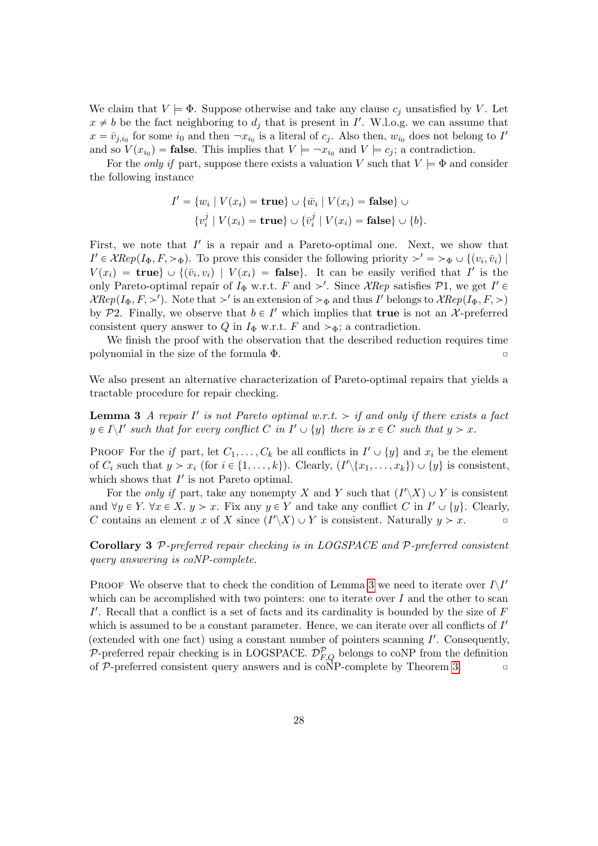We claim that  $V \models \Phi$ . Suppose otherwise and take any clause  $c_i$  unsatisfied by V. Let  $x \neq b$  be the fact neighboring to  $d_j$  that is present in I'. W.l.o.g. we can assume that  $x = \bar{v}_{j,i_0}$  for some  $i_0$  and then  $\neg x_{i_0}$  is a literal of  $c_j$ . Also then,  $w_{i_0}$  does not belong to I' and so  $V(x_{i_0})$  = **false**. This implies that  $V \models \neg x_{i_0}$  and  $V \models c_j$ ; a contradiction.

For the *only if* part, suppose there exists a valuation V such that  $V \models \Phi$  and consider the following instance

$$
I' = \{w_i \mid V(x_i) = \mathbf{true}\} \cup \{\bar{w}_i \mid V(x_i) = \mathbf{false}\} \cup \{v_i^j \mid V(x_i) = \mathbf{true}\} \cup \{\bar{v}_i^j \mid V(x_i) = \mathbf{false}\} \cup \{b\}.
$$

First, we note that  $I'$  is a repair and a Pareto-optimal one. Next, we show that  $I' \in \mathcal{X} Rep(I_{\Phi}, F, >_{\Phi}).$  To prove this consider the following priority  $>' = >_{\Phi} \cup \{(v_i, \bar{v}_i) \mid \Phi(v_i, \bar{v}_i) \in \mathcal{X} Rep(I_{\Phi}, F, >_{\Phi})\}$  $V(x_i) = \textbf{true} \cup \{(\bar{v}_i, v_i) \mid V(x_i) = \textbf{false}\}.$  It can be easily verified that I' is the only Pareto-optimal repair of  $I_{\Phi}$  w.r.t. F and  $\geq'$ . Since XRep satisfies  $\mathcal{P}1$ , we get  $I' \in$  $\mathcal{X} Rep(I_{\Phi}, F, \geq')$ . Note that  $\geq'$  is an extension of  $\geq_{\Phi}$  and thus I' belongs to  $\mathcal{X} Rep(I_{\Phi}, F, \geq)$ by P2. Finally, we observe that  $b \in I'$  which implies that **true** is not an X-preferred consistent query answer to Q in  $I_{\Phi}$  w.r.t. F and  $\succ_{\Phi}$ ; a contradiction.

We finish the proof with the observation that the described reduction requires time polynomial in the size of the formula  $\Phi$ .

We also present an alternative characterization of Pareto-optimal repairs that yields a tractable procedure for repair checking.

**Lemma 3** A repair  $I'$  is not Pareto optimal w.r.t.  $>$  if and only if there exists a fact  $y \in I \backslash I'$  such that for every conflict C in  $I' \cup \{y\}$  there is  $x \in C$  such that  $y > x$ .

PROOF For the if part, let  $C_1, \ldots, C_k$  be all conflicts in  $I' \cup \{y\}$  and  $x_i$  be the element of  $C_i$  such that  $y > x_i$  (for  $i \in \{1, ..., k\}$ ). Clearly,  $(I' \setminus \{x_1, ..., x_k\}) \cup \{y\}$  is consistent, which shows that  $I'$  is not Pareto optimal.

For the *only if* part, take any nonempty X and Y such that  $(I'\_X) \cup Y$  is consistent and  $\forall y \in Y$ .  $\forall x \in X$ .  $y > x$ . Fix any  $y \in Y$  and take any conflict C in  $I' \cup \{y\}$ . Clearly, C contains an element x of X since  $(I'\backslash X) \cup Y$  is consistent. Naturally  $y > x$ .

Corollary 3 P-preferred repair checking is in LOGSPACE and P-preferred consistent query answering is coNP-complete.

PROOF We observe that to check the condition of Lemma 3 we need to iterate over  $I\setminus I'$ which can be accomplished with two pointers: one to iterate over  $I$  and the other to scan  $I'$ . Recall that a conflict is a set of facts and its cardinality is bounded by the size of  $F$ which is assumed to be a constant parameter. Hence, we can iterate over all conflicts of  $I'$ (extended with one fact) using a constant number of pointers scanning  $I'$ . Consequently, P-preferred repair checking is in LOGSPACE.  $\mathcal{D}_{F,Q}^{\mathcal{P}}$  belongs to coNP from the definition of  $P$ -preferred consistent query answers and is coNP-complete by Theorem 3.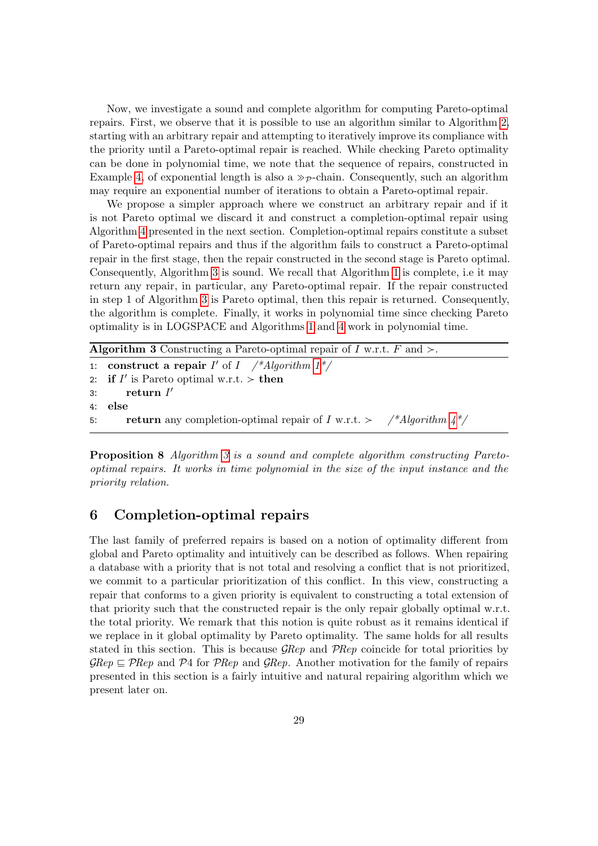Now, we investigate a sound and complete algorithm for computing Pareto-optimal repairs. First, we observe that it is possible to use an algorithm similar to Algorithm 2, starting with an arbitrary repair and attempting to iteratively improve its compliance with the priority until a Pareto-optimal repair is reached. While checking Pareto optimality can be done in polynomial time, we note that the sequence of repairs, constructed in Example 4, of exponential length is also a  $\gg_{\mathcal{P}}$ -chain. Consequently, such an algorithm may require an exponential number of iterations to obtain a Pareto-optimal repair.

We propose a simpler approach where we construct an arbitrary repair and if it is not Pareto optimal we discard it and construct a completion-optimal repair using Algorithm 4 presented in the next section. Completion-optimal repairs constitute a subset of Pareto-optimal repairs and thus if the algorithm fails to construct a Pareto-optimal repair in the first stage, then the repair constructed in the second stage is Pareto optimal. Consequently, Algorithm 3 is sound. We recall that Algorithm 1 is complete, i.e it may return any repair, in particular, any Pareto-optimal repair. If the repair constructed in step 1 of Algorithm 3 is Pareto optimal, then this repair is returned. Consequently, the algorithm is complete. Finally, it works in polynomial time since checking Pareto optimality is in LOGSPACE and Algorithms 1 and 4 work in polynomial time.

**Algorithm 3** Constructing a Pareto-optimal repair of I w.r.t. F and  $\geq$ . 1: construct a repair  $I'$  of  $I$  /\*Algorithm  $1^*/$ 2: if  $I'$  is Pareto optimal w.r.t. > then  $3:$  return  $I'$ 4: else 5: return any completion-optimal repair of I w.r.t.  $>$  /\*Algorithm  $4*/$ 

Proposition 8 Algorithm 3 is a sound and complete algorithm constructing Paretooptimal repairs. It works in time polynomial in the size of the input instance and the priority relation.

## 6 Completion-optimal repairs

The last family of preferred repairs is based on a notion of optimality different from global and Pareto optimality and intuitively can be described as follows. When repairing a database with a priority that is not total and resolving a conflict that is not prioritized, we commit to a particular prioritization of this conflict. In this view, constructing a repair that conforms to a given priority is equivalent to constructing a total extension of that priority such that the constructed repair is the only repair globally optimal w.r.t. the total priority. We remark that this notion is quite robust as it remains identical if we replace in it global optimality by Pareto optimality. The same holds for all results stated in this section. This is because  $\mathcal{G} Rep$  and  $\mathcal{P} Rep$  coincide for total priorities by  $\mathcal{G}Rep \subseteq \mathcal{P}Rep$  and  $\mathcal{P}4$  for  $\mathcal{P}Rep$  and  $\mathcal{G}Rep$ . Another motivation for the family of repairs presented in this section is a fairly intuitive and natural repairing algorithm which we present later on.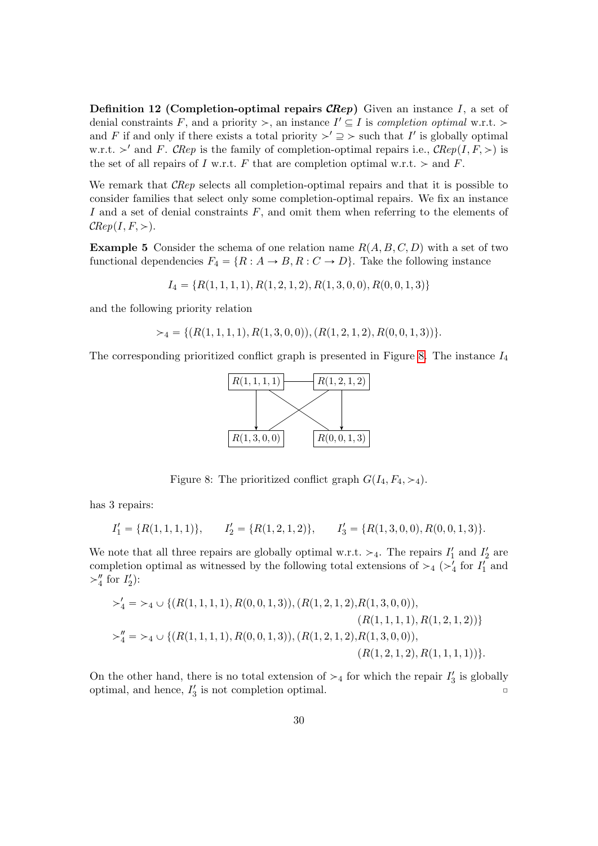**Definition 12 (Completion-optimal repairs CRep)** Given an instance I, a set of denial constraints F, and a priority  $\ge$ , an instance  $I' \subseteq I$  is completion optimal w.r.t.  $\ge$ and F if and only if there exists a total priority  $\geq' \supseteq \geq$  such that I' is globally optimal w.r.t.  $>$ ' and F. CRep is the family of completion-optimal repairs i.e., CRep(I, F,  $>$ ) is the set of all repairs of I w.r.t. F that are completion optimal w.r.t.  $>$  and F.

We remark that *CRep* selects all completion-optimal repairs and that it is possible to consider families that select only some completion-optimal repairs. We fix an instance I and a set of denial constraints  $F$ , and omit them when referring to the elements of  $\mathcal{C}$ Rep $(I, F, >)$ .

**Example 5** Consider the schema of one relation name  $R(A, B, C, D)$  with a set of two functional dependencies  $F_4 = \{R : A \rightarrow B, R : C \rightarrow D\}$ . Take the following instance

$$
I_4 = \{R(1, 1, 1, 1), R(1, 2, 1, 2), R(1, 3, 0, 0), R(0, 0, 1, 3)\}
$$

and the following priority relation

$$
\succ_4 \; = \{ (R(1, 1, 1, 1), R(1, 3, 0, 0)), (R(1, 2, 1, 2), R(0, 0, 1, 3)) \}.
$$

The corresponding prioritized conflict graph is presented in Figure 8. The instance  $I_4$ 



Figure 8: The prioritized conflict graph  $G(I_4, F_4, \geq 4)$ .

has 3 repairs:

$$
I'_1 = \{R(1,1,1,1)\}, \qquad I'_2 = \{R(1,2,1,2)\}, \qquad I'_3 = \{R(1,3,0,0), R(0,0,1,3)\}.
$$

We note that all three repairs are globally optimal w.r.t.  $>_4$ . The repairs  $I'_1$  and  $I'_2$  are completion optimal as witnessed by the following total extensions of  $\geq_4 (\geq'_4$  for  $I'_1$  and  $>\!\!4'$  for  $I'_2$ :

$$
\begin{aligned}\n& \succ_4' &= \succ_4 \cup \{ (R(1,1,1,1), R(0,0,1,3)), (R(1,2,1,2), R(1,3,0,0)), \\
& (R(1,1,1,1), R(1,2,1,2)) \} \\
& \succ_4'' &= \succ_4 \cup \{ (R(1,1,1,1), R(0,0,1,3)), (R(1,2,1,2), R(1,3,0,0)), \\
& (R(1,2,1,2), R(1,1,1,1)) \}.\n\end{aligned}
$$

On the other hand, there is no total extension of  $\geq_4$  for which the repair  $I'_3$  is globally optimal, and hence,  $I'_3$  is not completion optimal.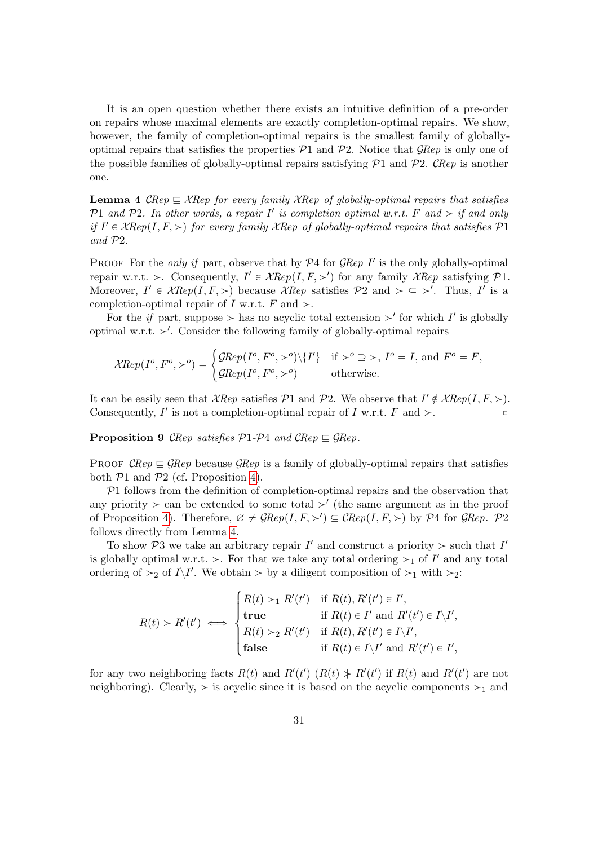It is an open question whether there exists an intuitive definition of a pre-order on repairs whose maximal elements are exactly completion-optimal repairs. We show, however, the family of completion-optimal repairs is the smallest family of globallyoptimal repairs that satisfies the properties  $P1$  and  $P2$ . Notice that  $\mathcal{G}Rep$  is only one of the possible families of globally-optimal repairs satisfying  $P1$  and  $P2$ . CRep is another one.

**Lemma 4** CRep  $\subseteq$  XRep for every family XRep of globally-optimal repairs that satisfies P1 and P2. In other words, a repair  $I'$  is completion optimal w.r.t. F and  $>$  if and only if  $I' \in \mathcal{X} Rep(I, F, >)$  for every family  $\mathcal{X} Rep$  of globally-optimal repairs that satisfies  $\mathcal{P}1$ and P2.

PROOF For the only if part, observe that by  $P4$  for  $\mathcal{G}Rep$  I' is the only globally-optimal repair w.r.t. > Consequently,  $I' \in \mathcal{X} Rep(I, F, >')$  for any family  $\mathcal{X} Rep$  satisfying  $\mathcal{P}1$ . Moreover,  $I' \in \mathcal{X} Rep(I, F, >)$  because  $\mathcal{X} Rep$  satisfies  $P2$  and  $\geq \leq \geq'$ . Thus, I' is a completion-optimal repair of I w.r.t. F and  $\geq$ .

For the *if* part, suppose  $>$  has no acyclic total extension  $>$ ' for which I' is globally optimal w.r.t.  $\geq'$ . Consider the following family of globally-optimal repairs

$$
\mathcal{X}Rep(I^o, F^o, \gt^o) = \begin{cases} \mathcal{G}Rep(I^o, F^o, \gt^o) \setminus \{I'\} & \text{if } \gt^o \supseteq \gt, I^o = I, \text{ and } F^o = F, \\ \mathcal{G}Rep(I^o, F^o, \gt^o) & \text{otherwise.} \end{cases}
$$

It can be easily seen that  $\mathcal{X} Rep$  satisfies  $\mathcal{P}1$  and  $\mathcal{P}2$ . We observe that  $I' \notin \mathcal{X} Rep(I, F, >)$ . Consequently,  $I'$  is not a completion-optimal repair of  $I$  w.r.t.  $F$  and  $\gt$ .

**Proposition 9** CRep satisfies  $P1-P4$  and CRep  $\subseteq$  GRep.

PROOF CRep  $\subseteq \mathcal{G}$ Rep because  $\mathcal{G}$ Rep is a family of globally-optimal repairs that satisfies both  $P1$  and  $P2$  (cf. Proposition 4).

 $P1$  follows from the definition of completion-optimal repairs and the observation that any priority  $>$  can be extended to some total  $>$ ' (the same argument as in the proof of Proposition 4). Therefore,  $\emptyset \neq \mathcal{G} Rep(I, F, >') \subseteq \mathcal{C} Rep(I, F, >)$  by  $\mathcal{P}4$  for  $\mathcal{G}Rep. \mathcal{P}2$ follows directly from Lemma 4.

To show  $P3$  we take an arbitrary repair  $I'$  and construct a priority  $>$  such that  $I'$ is globally optimal w.r.t. >. For that we take any total ordering  $\succ_1$  of I' and any total ordering of  $\geq_2$  of  $I \setminus I'$ . We obtain  $>$  by a diligent composition of  $\geq_1$  with  $\geq_2$ :

$$
R(t) > R'(t') \iff \begin{cases} R(t) >_1 R'(t') & \text{if } R(t), R'(t') \in I', \\ \text{true} & \text{if } R(t) \in I' \text{ and } R'(t') \in I \setminus I', \\ R(t) >_2 R'(t') & \text{if } R(t), R'(t') \in I \setminus I', \\ \text{false} & \text{if } R(t) \in I \setminus I' \text{ and } R'(t') \in I', \end{cases}
$$

for any two neighboring facts  $R(t)$  and  $R'(t')$   $(R(t) \nless R'(t')$  if  $R(t)$  and  $R'(t')$  are not neighboring). Clearly,  $>$  is acyclic since it is based on the acyclic components  $>1$  and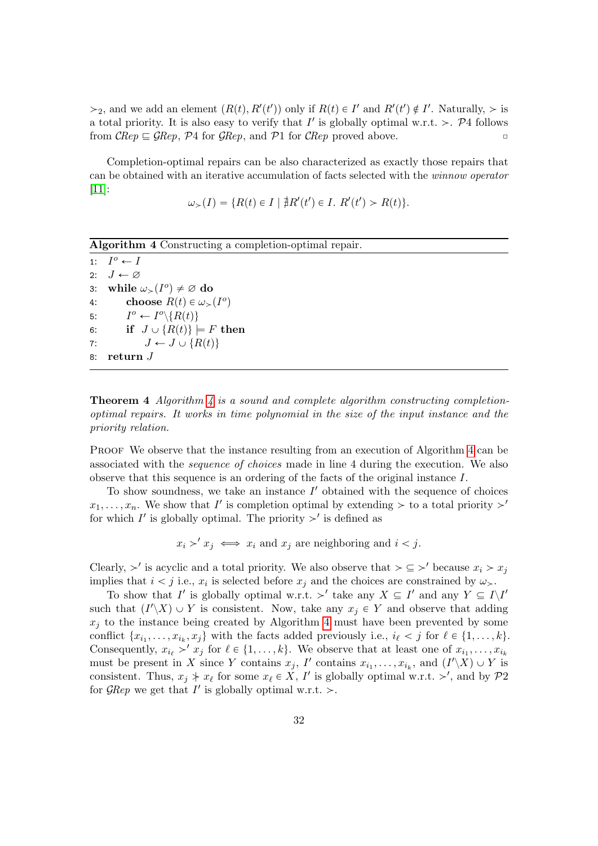$\geq_2$ , and we add an element  $(R(t), R'(t'))$  only if  $R(t) \in I'$  and  $R'(t') \notin I'$ . Naturally,  $\geq$  is a total priority. It is also easy to verify that  $I'$  is globally optimal w.r.t. >. P4 follows from  $\mathcal{C}Rep \subseteq \mathcal{G}Rep$ ,  $\mathcal{P}4$  for  $\mathcal{G}Rep$ , and  $\mathcal{P}1$  for  $\mathcal{C}Rep$  proved above.

Completion-optimal repairs can be also characterized as exactly those repairs that can be obtained with an iterative accumulation of facts selected with the winnow operator  $|11|$ :

$$
\omega_{>}(I) = \{ R(t) \in I \mid \nexists R'(t') \in I. \ R'(t') > R(t) \}.
$$

Algorithm 4 Constructing a completion-optimal repair.

1:  $I^o \leftarrow I$ 2:  $J \leftarrow \varnothing$ 3: while  $\omega_{>} (I^o) \neq \emptyset$  do 4: choose  $R(t) \in \omega_>(I^o)$ 5:  $I^o \leftarrow I^o \setminus \{R(t)\}$ 6: if  $J \cup \{R(t)\}\models F$  then 7:  $J \leftarrow J \cup \{R(t)\}$ 8: return J

**Theorem 4** Algorithm  $\downarrow$  is a sound and complete algorithm constructing completionoptimal repairs. It works in time polynomial in the size of the input instance and the priority relation.

PROOF We observe that the instance resulting from an execution of Algorithm 4 can be associated with the sequence of choices made in line 4 during the execution. We also observe that this sequence is an ordering of the facts of the original instance I.

To show soundness, we take an instance  $I'$  obtained with the sequence of choices  $x_1, \ldots, x_n$ . We show that I' is completion optimal by extending  $>$  to a total priority  $\gt'$ for which  $I'$  is globally optimal. The priority  $\geq'$  is defined as

 $x_i >' x_j \iff x_i$  and  $x_j$  are neighboring and  $i < j$ .

Clearly,  $>$ ' is acyclic and a total priority. We also observe that  $\geq \leq$  because  $x_i > x_j$ implies that  $i < j$  i.e.,  $x_i$  is selected before  $x_j$  and the choices are constrained by  $\omega_{\succ}$ .

To show that I' is globally optimal w.r.t.  $\geq'$  take any  $X \subseteq I'$  and any  $Y \subseteq I\backslash I'$ such that  $(I'\_ X) \cup Y$  is consistent. Now, take any  $x_j \in Y$  and observe that adding  $x_i$  to the instance being created by Algorithm 4 must have been prevented by some conflict  $\{x_{i_1}, \ldots, x_{i_k}, x_j\}$  with the facts added previously i.e.,  $i_\ell < j$  for  $\ell \in \{1, \ldots, k\}$ . Consequently,  $x_{i_\ell} >' x_j$  for  $\ell \in \{1, ..., k\}$ . We observe that at least one of  $x_{i_1}, \ldots, x_{i_k}$ must be present in X since Y contains  $x_j$ , I' contains  $x_{i_1}, \ldots, x_{i_k}$ , and  $(I'\setminus X) \cup Y$  is consistent. Thus,  $x_j \nmid x_\ell$  for some  $x_\ell \in X$ , I' is globally optimal w.r.t.  $\gt'$ , and by  $\mathcal{P}2$ for  $\mathcal{G} \mathcal{R}ep$  we get that  $I'$  is globally optimal w.r.t. >.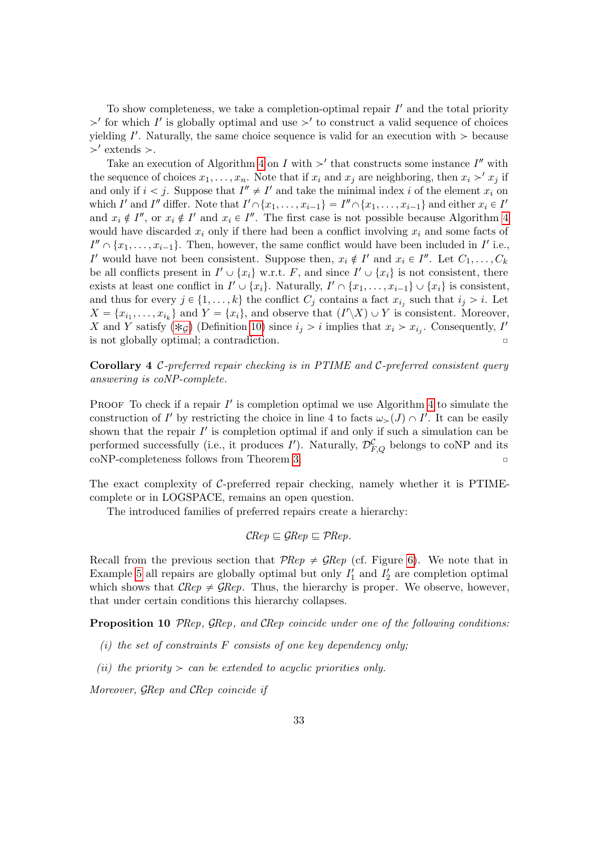To show completeness, we take a completion-optimal repair  $I'$  and the total priority  $>$ ' for which I' is globally optimal and use  $>$ ' to construct a valid sequence of choices yielding  $I'$ . Naturally, the same choice sequence is valid for an execution with  $\geq$  because  $>^{\prime}$  extends  $>$ .

Take an execution of Algorithm 4 on I with  $>$ ' that constructs some instance I'' with the sequence of choices  $x_1, \ldots, x_n$ . Note that if  $x_i$  and  $x_j$  are neighboring, then  $x_i >' x_j$  if and only if  $i < j$ . Suppose that  $I'' \neq I'$  and take the minimal index i of the element  $x_i$  on which I' and I'' differ. Note that  $I' \cap \{x_1, \ldots, x_{i-1}\} = I'' \cap \{x_1, \ldots, x_{i-1}\}$  and either  $x_i \in I'$ and  $x_i \notin I''$ , or  $x_i \notin I'$  and  $x_i \in I''$ . The first case is not possible because Algorithm 4 would have discarded  $x_i$  only if there had been a conflict involving  $x_i$  and some facts of  $I'' \cap \{x_1, \ldots, x_{i-1}\}.$  Then, however, the same conflict would have been included in  $I'$  i.e., I' would have not been consistent. Suppose then,  $x_i \notin I'$  and  $x_i \in I''$ . Let  $C_1, \ldots, C_k$ be all conflicts present in  $I' \cup \{x_i\}$  w.r.t. F, and since  $I' \cup \{x_i\}$  is not consistent, there exists at least one conflict in  $I' \cup \{x_i\}$ . Naturally,  $I' \cap \{x_1, \ldots, x_{i-1}\} \cup \{x_i\}$  is consistent, and thus for every  $j \in \{1, ..., k\}$  the conflict  $C_j$  contains a fact  $x_{i_j}$  such that  $i_j > i$ . Let  $X = \{x_{i_1}, \ldots, x_{i_k}\}\$ and  $Y = \{x_i\}$ , and observe that  $(I'\backslash X) \cup Y$  is consistent. Moreover, X and Y satisfy  $(\ast_{\mathcal{G}})$  (Definition 10) since  $i_j > i$  implies that  $x_i > x_{i_j}$ . Consequently, I' is not globally optimal; a contradiction.  $\Box$ 

**Corollary 4** C-preferred repair checking is in PTIME and C-preferred consistent query answering is coNP-complete.

PROOF To check if a repair  $I'$  is completion optimal we use Algorithm 4 to simulate the construction of I' by restricting the choice in line 4 to facts  $\omega_>(J) \cap I'$ . It can be easily shown that the repair  $I'$  is completion optimal if and only if such a simulation can be performed successfully (i.e., it produces  $I'$ ). Naturally,  $\mathcal{D}_{F,Q}^{\mathcal{C}}$  belongs to coNP and its  $coNP-completeness$  follows from Theorem 3.

The exact complexity of C-preferred repair checking, namely whether it is PTIMEcomplete or in LOGSPACE, remains an open question.

The introduced families of preferred repairs create a hierarchy:

$$
\mathcal{C} Rep \sqsubseteq \mathcal{G} Rep \sqsubseteq \mathcal{P} Rep.
$$

Recall from the previous section that  $\mathcal{P}Rep \neq \mathcal{G}Rep$  (cf. Figure 6). We note that in Example 5 all repairs are globally optimal but only  $I'_1$  and  $I'_2$  are completion optimal which shows that  $\mathcal{C}Rep \neq \mathcal{G}Rep$ . Thus, the hierarchy is proper. We observe, however, that under certain conditions this hierarchy collapses.

Proposition 10 PRep, GRep, and CRep coincide under one of the following conditions:

- $(i)$  the set of constraints F consists of one key dependency only:
- (ii) the priority  $> can be extended to acyclic priorities only.$

Moreover, GRep and CRep coincide if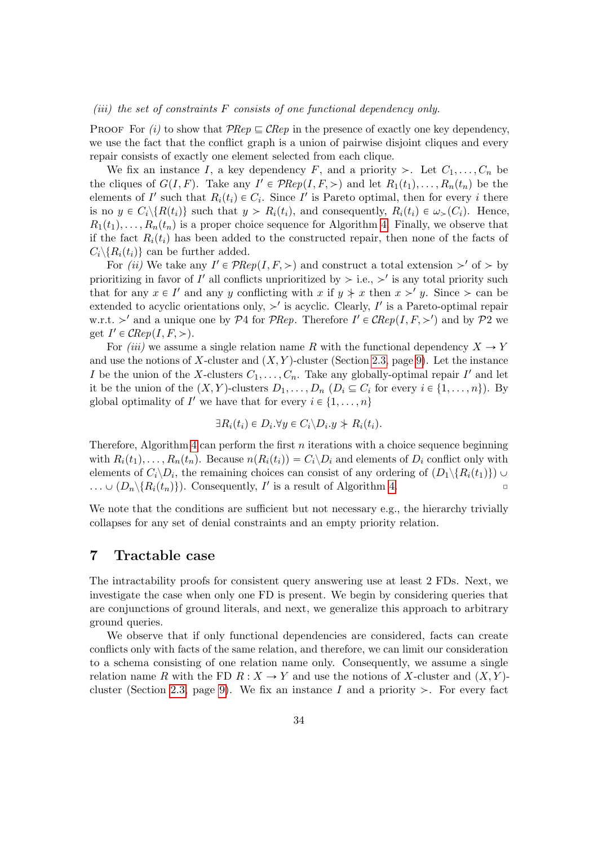#### (iii) the set of constraints  $F$  consists of one functional dependency only.

PROOF For (i) to show that  $P$ Rep  $\subseteq$  CRep in the presence of exactly one key dependency. we use the fact that the conflict graph is a union of pairwise disjoint cliques and every repair consists of exactly one element selected from each clique.

We fix an instance I, a key dependency F, and a priority  $\geq$ . Let  $C_1, \ldots, C_n$  be the cliques of  $G(I, F)$ . Take any  $I' \in \mathcal{P}Rep(I, F, >)$  and let  $R_1(t_1), \ldots, R_n(t_n)$  be the elements of I' such that  $R_i(t_i) \in C_i$ . Since I' is Pareto optimal, then for every i there is no  $y \in C_i \backslash \{R(t_i)\}$  such that  $y > R_i(t_i)$ , and consequently,  $R_i(t_i) \in \omega_>(C_i)$ . Hence,  $R_1(t_1), \ldots, R_n(t_n)$  is a proper choice sequence for Algorithm 4. Finally, we observe that if the fact  $R_i(t_i)$  has been added to the constructed repair, then none of the facts of  $C_i \backslash \{R_i(t_i)\}\$  can be further added.

For *(ii)* We take any  $I' \in \mathcal{P}Rep(I, F, \geq)$  and construct a total extension  $\geq'$  of  $\geq$  by prioritizing in favor of  $I'$  all conflicts unprioritized by  $\geq$  i.e.,  $\geq'$  is any total priority such that for any  $x \in I'$  and any y conflicting with x if  $y \nless x$  then  $x \nless y$ . Since  $\ge$  can be extended to acyclic orientations only,  $\geq'$  is acyclic. Clearly, I' is a Pareto-optimal repair w.r.t.  $>'$  and a unique one by P4 for PRep. Therefore  $I' \in \mathcal{C}Rep(I, F, >')$  and by P2 we get  $I' \in \mathcal{C}Rep(I, F, >)$ .

For *(iii)* we assume a single relation name R with the functional dependency  $X \to Y$ and use the notions of X-cluster and  $(X, Y)$ -cluster (Section 2.3, page 9). Let the instance I be the union of the X-clusters  $C_1, \ldots, C_n$ . Take any globally-optimal repair I' and let it be the union of the  $(X, Y)$ -clusters  $D_1, \ldots, D_n$   $(D_i \subseteq C_i$  for every  $i \in \{1, \ldots, n\})$ . By global optimality of  $I'$  we have that for every  $i \in \{1, \ldots, n\}$ 

$$
\exists R_i(t_i) \in D_i. \forall y \in C_i \backslash D_i. y \nless R_i(t_i).
$$

Therefore, Algorithm 4 can perform the first  $n$  iterations with a choice sequence beginning with  $R_i(t_1), \ldots, R_n(t_n)$ . Because  $n(R_i(t_i)) = C_i \backslash D_i$  and elements of  $D_i$  conflict only with elements of  $C_i \backslash D_i$ , the remaining choices can consist of any ordering of  $(D_1 \backslash \{R_i(t_1)\}) \cup$  $\ldots \cup (D_n \backslash \{R_i(t_n)\})$ . Consequently, I' is a result of Algorithm 4.

We note that the conditions are sufficient but not necessary e.g., the hierarchy trivially collapses for any set of denial constraints and an empty priority relation.

### 7 Tractable case

The intractability proofs for consistent query answering use at least 2 FDs. Next, we investigate the case when only one FD is present. We begin by considering queries that are conjunctions of ground literals, and next, we generalize this approach to arbitrary ground queries.

We observe that if only functional dependencies are considered, facts can create conflicts only with facts of the same relation, and therefore, we can limit our consideration to a schema consisting of one relation name only. Consequently, we assume a single relation name R with the FD  $R : X \to Y$  and use the notions of X-cluster and  $(X, Y)$ cluster (Section 2.3, page 9). We fix an instance I and a priority  $\geq$ . For every fact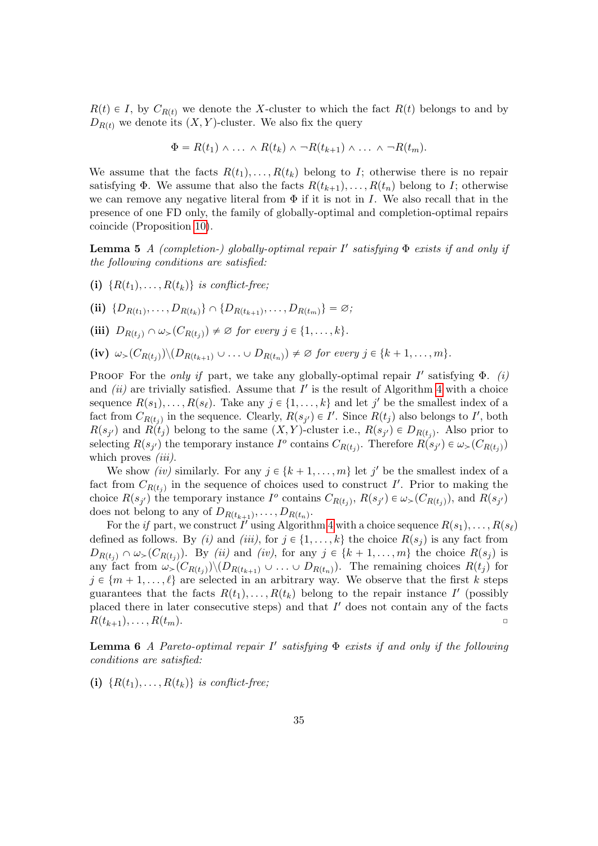$R(t) \in I$ , by  $C_{R(t)}$  we denote the X-cluster to which the fact  $R(t)$  belongs to and by  $D_{R(t)}$  we denote its  $(X, Y)$ -cluster. We also fix the query

$$
\Phi = R(t_1) \wedge \ldots \wedge R(t_k) \wedge \neg R(t_{k+1}) \wedge \ldots \wedge \neg R(t_m).
$$

We assume that the facts  $R(t_1), \ldots, R(t_k)$  belong to I; otherwise there is no repair satisfying  $\Phi$ . We assume that also the facts  $R(t_{k+1}), \ldots, R(t_n)$  belong to I; otherwise we can remove any negative literal from  $\Phi$  if it is not in I. We also recall that in the presence of one FD only, the family of globally-optimal and completion-optimal repairs coincide (Proposition 10).

**Lemma 5** A (completion-) globally-optimal repair  $I'$  satisfying  $\Phi$  exists if and only if the following conditions are satisfied:

- (i)  $\{R(t_1), \ldots, R(t_k)\}\$ is conflict-free;
- (ii)  $\{D_{R(t_1)}, \ldots, D_{R(t_k)}\} \cap \{D_{R(t_{k+1})}, \ldots, D_{R(t_m)}\} = \emptyset$ ;
- (iii)  $D_{R(t_j)} \cap \omega_>(C_{R(t_j)}) \neq \emptyset$  for every  $j \in \{1, \ldots, k\}.$
- (iv)  $\omega_{>}(C_{R(t_j)}) \setminus (D_{R(t_{k+1})} \cup \ldots \cup D_{R(t_n)}) \neq \emptyset$  for every  $j \in \{k+1, \ldots, m\}.$

PROOF For the only if part, we take any globally-optimal repair  $I'$  satisfying  $\Phi$ . (i) and  $(ii)$  are trivially satisfied. Assume that  $I'$  is the result of Algorithm 4 with a choice sequence  $R(s_1), \ldots, R(s_\ell)$ . Take any  $j \in \{1, \ldots, k\}$  and let  $j'$  be the smallest index of a fact from  $C_{R(t_j)}$  in the sequence. Clearly,  $R(s_{j'}) \in I'$ . Since  $R(t_j)$  also belongs to I', both  $R(s_{j'})$  and  $R(t_j)$  belong to the same  $(X, Y)$ -cluster i.e.,  $R(s_{j'}) \in D_{R(t_j)}$ . Also prior to selecting  $R(s_{j'})$  the temporary instance  $I^o$  contains  $C_{R(t_j)}$ . Therefore  $R(s_{j'}) \in \omega_>(C_{R(t_j)})$ which proves  $(iii)$ .

We show *(iv)* similarly. For any  $j \in \{k + 1, \ldots, m\}$  let j' be the smallest index of a fact from  $C_{R(t_j)}$  in the sequence of choices used to construct I'. Prior to making the choice  $R(s_{j'})$  the temporary instance  $I^o$  contains  $C_{R(t_j)}, R(s_{j'}) \in \omega_>(C_{R(t_j)}),$  and  $R(s_{j'})$ does not belong to any of  $D_{R(t_{k+1})}, \ldots, D_{R(t_n)}$ .

For the *if* part, we construct I' using Algorithm 4 with a choice sequence  $R(s_1), \ldots, R(s_\ell)$ defined as follows. By (i) and (iii), for  $j \in \{1, ..., k\}$  the choice  $R(s_j)$  is any fact from  $D_{R(t_j)} \cap \omega_>(C_{R(t_j)})$ . By *(ii)* and *(iv)*, for any  $j \in \{k+1, \ldots, m\}$  the choice  $R(s_j)$  is any fact from  $\omega>(C_{R(t_j)})\setminus (D_{R(t_{k+1})}\cup \ldots \cup D_{R(t_n)})$ . The remaining choices  $R(t_j)$  for  $j \in \{m + 1, \ldots, \ell\}$  are selected in an arbitrary way. We observe that the first k steps guarantees that the facts  $R(t_1), \ldots, R(t_k)$  belong to the repair instance I' (possibly placed there in later consecutive steps) and that  $I'$  does not contain any of the facts  $R(t_{k+1}), \ldots, R(t_m).$ 

**Lemma 6** A Pareto-optimal repair  $I'$  satisfying  $\Phi$  exists if and only if the following conditions are satisfied:

(i)  $\{R(t_1), \ldots, R(t_k)\}\$ is conflict-free;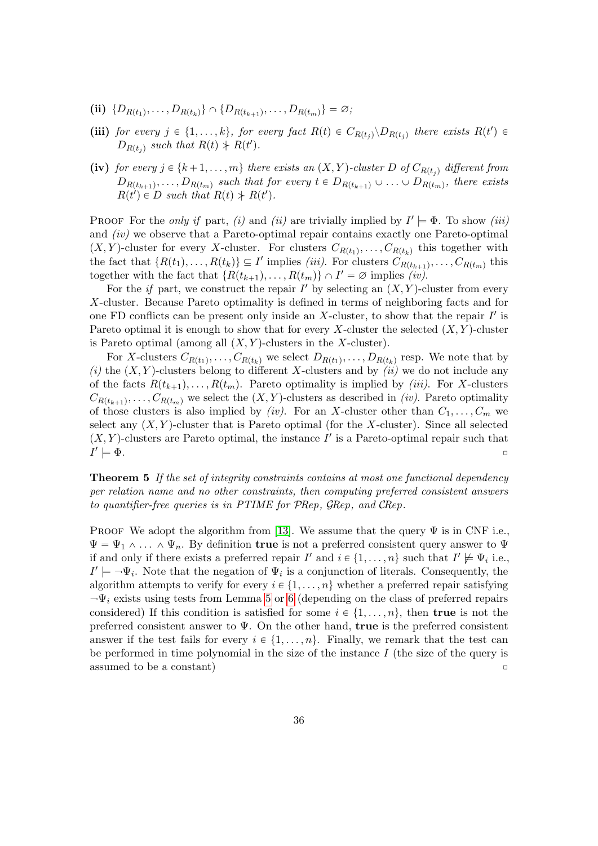- (ii)  $\{D_{R(t_1)}, \ldots, D_{R(t_k)}\} \cap \{D_{R(t_{k+1})}, \ldots, D_{R(t_m)}\} = \emptyset;$
- (iii) for every  $j \in \{1, ..., k\}$ , for every fact  $R(t) \in C_{R(t_j)} \backslash D_{R(t_j)}$  there exists  $R(t') \in$  $D_{R(t_j)}$  such that  $R(t) \nless R(t')$ .
- (iv) for every  $j \in \{k + 1, \ldots, m\}$  there exists an  $(X, Y)$ -cluster D of  $C_{R(t_i)}$  different from  $D_{R(t_{k+1})}, \ldots, D_{R(t_m)}$  such that for every  $t \in D_{R(t_{k+1})} \cup \ldots \cup D_{R(t_m)}$ , there exists  $R(t') \in D$  such that  $R(t) \nmid R(t')$ .

PROOF For the *only if* part, (*i*) and (*ii*) are trivially implied by  $I' \models \Phi$ . To show (*iii*) and  $(iv)$  we observe that a Pareto-optimal repair contains exactly one Pareto-optimal  $(X, Y)$ -cluster for every X-cluster. For clusters  $C_{R(t_1)}, \ldots, C_{R(t_k)}$  this together with the fact that  $\{R(t_1), \ldots, R(t_k)\} \subseteq I'$  implies *(iii)*. For clusters  $C_{R(t_{k+1})}, \ldots, C_{R(t_m)}$  this together with the fact that  $\{R(t_{k+1}), \ldots, R(t_m)\} \cap I' = \varnothing$  implies  $(iv)$ .

For the *if* part, we construct the repair  $I'$  by selecting an  $(X, Y)$ -cluster from every X-cluster. Because Pareto optimality is defined in terms of neighboring facts and for one FD conflicts can be present only inside an  $X$ -cluster, to show that the repair  $I'$  is Pareto optimal it is enough to show that for every X-cluster the selected  $(X, Y)$ -cluster is Pareto optimal (among all  $(X, Y)$ -clusters in the X-cluster).

For X-clusters  $C_{R(t_1)}, \ldots, C_{R(t_k)}$  we select  $D_{R(t_1)}, \ldots, D_{R(t_k)}$  resp. We note that by (i) the  $(X, Y)$ -clusters belong to different X-clusters and by  $(iii)$  we do not include any of the facts  $R(t_{k+1}), \ldots, R(t_m)$ . Pareto optimality is implied by *(iii)*. For X-clusters  $C_{R(t_{k+1})}, \ldots, C_{R(t_m)}$  we select the  $(X, Y)$ -clusters as described in *(iv)*. Pareto optimality of those clusters is also implied by *(iv)*. For an X-cluster other than  $C_1, \ldots, C_m$  we select any  $(X, Y)$ -cluster that is Pareto optimal (for the X-cluster). Since all selected  $(X, Y)$ -clusters are Pareto optimal, the instance I' is a Pareto-optimal repair such that  $I'$  $\models \Phi$ .

**Theorem 5** If the set of integrity constraints contains at most one functional dependency per relation name and no other constraints, then computing preferred consistent answers to quantifier-free queries is in PTIME for PRep, GRep, and CRep.

PROOF We adopt the algorithm from [13]. We assume that the query  $\Psi$  is in CNF i.e.,  $\Psi = \Psi_1 \wedge \ldots \wedge \Psi_n$ . By definition true is not a preferred consistent query answer to  $\Psi$ if and only if there exists a preferred repair  $I'$  and  $i \in \{1, ..., n\}$  such that  $I' \not\models \Psi_i$  i.e.,  $I' \models \neg \Psi_i$ . Note that the negation of  $\Psi_i$  is a conjunction of literals. Consequently, the algorithm attempts to verify for every  $i \in \{1, \ldots, n\}$  whether a preferred repair satisfying  $\neg \Psi_i$  exists using tests from Lemma 5 or 6 (depending on the class of preferred repairs considered) If this condition is satisfied for some  $i \in \{1, \ldots, n\}$ , then true is not the preferred consistent answer to  $\Psi$ . On the other hand, **true** is the preferred consistent answer if the test fails for every  $i \in \{1, \ldots, n\}$ . Finally, we remark that the test can be performed in time polynomial in the size of the instance  $I$  (the size of the query is assumed to be a constant)  $\Box$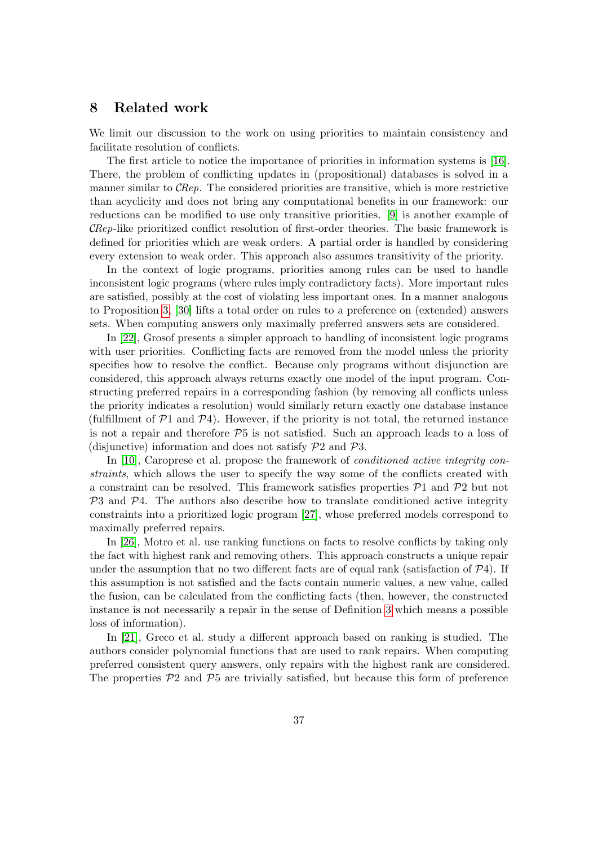## 8 Related work

We limit our discussion to the work on using priorities to maintain consistency and facilitate resolution of conflicts.

The first article to notice the importance of priorities in information systems is [16]. There, the problem of conflicting updates in (propositional) databases is solved in a manner similar to CRep. The considered priorities are transitive, which is more restrictive than acyclicity and does not bring any computational benefits in our framework: our reductions can be modified to use only transitive priorities. [9] is another example of CRep-like prioritized conflict resolution of first-order theories. The basic framework is defined for priorities which are weak orders. A partial order is handled by considering every extension to weak order. This approach also assumes transitivity of the priority.

In the context of logic programs, priorities among rules can be used to handle inconsistent logic programs (where rules imply contradictory facts). More important rules are satisfied, possibly at the cost of violating less important ones. In a manner analogous to Proposition 3, [30] lifts a total order on rules to a preference on (extended) answers sets. When computing answers only maximally preferred answers sets are considered.

In [22], Grosof presents a simpler approach to handling of inconsistent logic programs with user priorities. Conflicting facts are removed from the model unless the priority specifies how to resolve the conflict. Because only programs without disjunction are considered, this approach always returns exactly one model of the input program. Constructing preferred repairs in a corresponding fashion (by removing all conflicts unless the priority indicates a resolution) would similarly return exactly one database instance (fulfillment of  $\mathcal{P}1$  and  $\mathcal{P}4$ ). However, if the priority is not total, the returned instance is not a repair and therefore  $P5$  is not satisfied. Such an approach leads to a loss of (disjunctive) information and does not satisfy  $P2$  and  $P3$ .

In [10], Caroprese et al. propose the framework of *conditioned active integrity con*straints, which allows the user to specify the way some of the conflicts created with a constraint can be resolved. This framework satisfies properties  $P1$  and  $P2$  but not  $P3$  and  $P4$ . The authors also describe how to translate conditioned active integrity constraints into a prioritized logic program [27], whose preferred models correspond to maximally preferred repairs.

In [26], Motro et al. use ranking functions on facts to resolve conflicts by taking only the fact with highest rank and removing others. This approach constructs a unique repair under the assumption that no two different facts are of equal rank (satisfaction of  $\mathcal{P}4$ ). If this assumption is not satisfied and the facts contain numeric values, a new value, called the fusion, can be calculated from the conflicting facts (then, however, the constructed instance is not necessarily a repair in the sense of Definition 3 which means a possible loss of information).

In [21], Greco et al. study a different approach based on ranking is studied. The authors consider polynomial functions that are used to rank repairs. When computing preferred consistent query answers, only repairs with the highest rank are considered. The properties  $\mathcal{P}2$  and  $\mathcal{P}5$  are trivially satisfied, but because this form of preference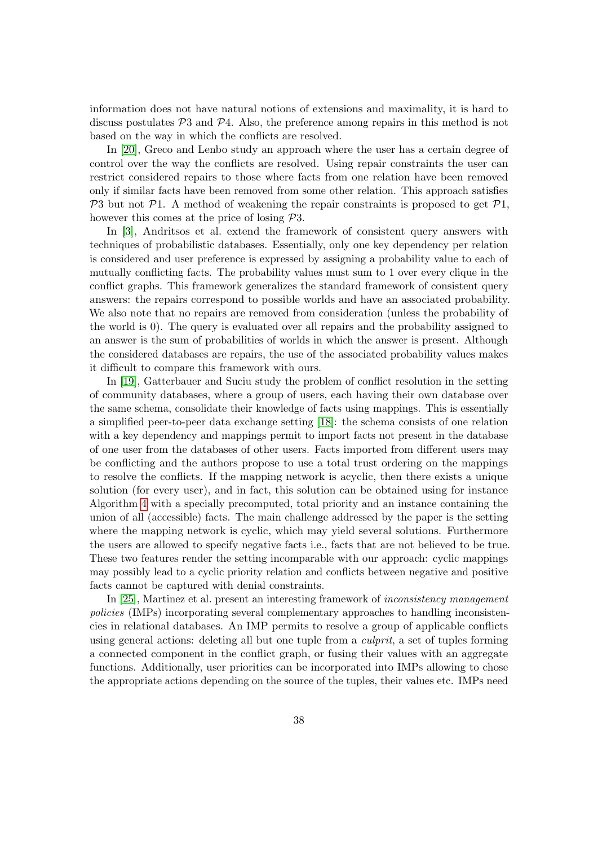information does not have natural notions of extensions and maximality, it is hard to discuss postulates  $\mathcal{P}3$  and  $\mathcal{P}4$ . Also, the preference among repairs in this method is not based on the way in which the conflicts are resolved.

In [20], Greco and Lenbo study an approach where the user has a certain degree of control over the way the conflicts are resolved. Using repair constraints the user can restrict considered repairs to those where facts from one relation have been removed only if similar facts have been removed from some other relation. This approach satisfies  $\mathcal{P}3$  but not  $\mathcal{P}1$ . A method of weakening the repair constraints is proposed to get  $\mathcal{P}1$ . however this comes at the price of losing  $\mathcal{P}3$ .

In [3], Andritsos et al. extend the framework of consistent query answers with techniques of probabilistic databases. Essentially, only one key dependency per relation is considered and user preference is expressed by assigning a probability value to each of mutually conflicting facts. The probability values must sum to 1 over every clique in the conflict graphs. This framework generalizes the standard framework of consistent query answers: the repairs correspond to possible worlds and have an associated probability. We also note that no repairs are removed from consideration (unless the probability of the world is 0). The query is evaluated over all repairs and the probability assigned to an answer is the sum of probabilities of worlds in which the answer is present. Although the considered databases are repairs, the use of the associated probability values makes it difficult to compare this framework with ours.

In [19], Gatterbauer and Suciu study the problem of conflict resolution in the setting of community databases, where a group of users, each having their own database over the same schema, consolidate their knowledge of facts using mappings. This is essentially a simplified peer-to-peer data exchange setting [18]: the schema consists of one relation with a key dependency and mappings permit to import facts not present in the database of one user from the databases of other users. Facts imported from different users may be conflicting and the authors propose to use a total trust ordering on the mappings to resolve the conflicts. If the mapping network is acyclic, then there exists a unique solution (for every user), and in fact, this solution can be obtained using for instance Algorithm 4 with a specially precomputed, total priority and an instance containing the union of all (accessible) facts. The main challenge addressed by the paper is the setting where the mapping network is cyclic, which may yield several solutions. Furthermore the users are allowed to specify negative facts i.e., facts that are not believed to be true. These two features render the setting incomparable with our approach: cyclic mappings may possibly lead to a cyclic priority relation and conflicts between negative and positive facts cannot be captured with denial constraints.

In [25], Martinez et al. present an interesting framework of inconsistency management policies (IMPs) incorporating several complementary approaches to handling inconsistencies in relational databases. An IMP permits to resolve a group of applicable conflicts using general actions: deleting all but one tuple from a *culprit*, a set of tuples forming a connected component in the conflict graph, or fusing their values with an aggregate functions. Additionally, user priorities can be incorporated into IMPs allowing to chose the appropriate actions depending on the source of the tuples, their values etc. IMPs need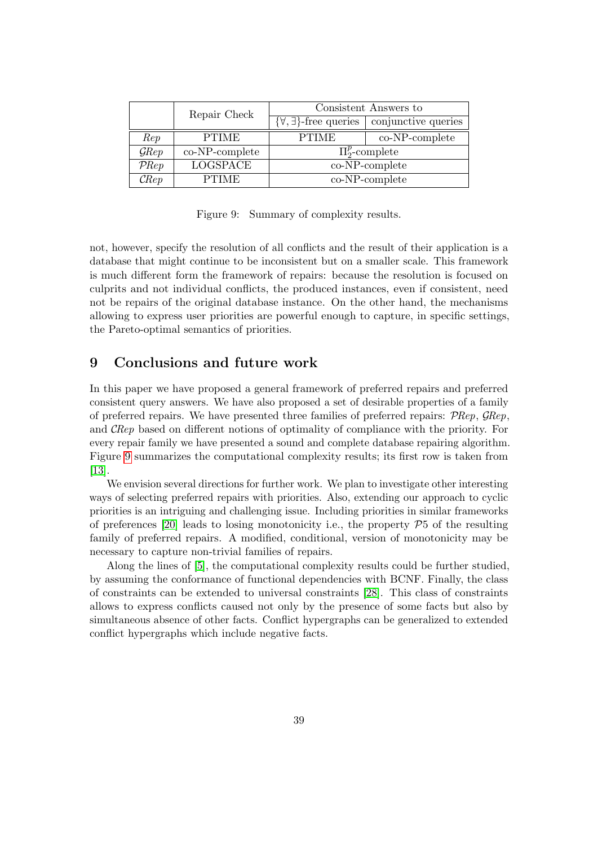|                   | Repair Check    | Consistent Answers to               |                     |
|-------------------|-----------------|-------------------------------------|---------------------|
|                   |                 | $\{\forall,\exists\}$ -free queries | conjunctive queries |
| Rep               | <b>PTIME</b>    | <b>PTIME</b>                        | $co-NP$ -complete   |
| $\mathcal{G}$ Rep | co-NP-complete  | $\Pi_{2}^{p}$ -complete             |                     |
| $P$ Rep           | <b>LOGSPACE</b> | co-NP-complete                      |                     |
| $\mathcal{C}$ Rep | <b>PTIME</b>    | co-NP-complete                      |                     |

Figure 9: Summary of complexity results.

not, however, specify the resolution of all conflicts and the result of their application is a database that might continue to be inconsistent but on a smaller scale. This framework is much different form the framework of repairs: because the resolution is focused on culprits and not individual conflicts, the produced instances, even if consistent, need not be repairs of the original database instance. On the other hand, the mechanisms allowing to express user priorities are powerful enough to capture, in specific settings, the Pareto-optimal semantics of priorities.

## 9 Conclusions and future work

In this paper we have proposed a general framework of preferred repairs and preferred consistent query answers. We have also proposed a set of desirable properties of a family of preferred repairs. We have presented three families of preferred repairs:  $P$ Rep,  $\mathcal{G}$ Rep, and CRep based on different notions of optimality of compliance with the priority. For every repair family we have presented a sound and complete database repairing algorithm. Figure 9 summarizes the computational complexity results; its first row is taken from [13].

We envision several directions for further work. We plan to investigate other interesting ways of selecting preferred repairs with priorities. Also, extending our approach to cyclic priorities is an intriguing and challenging issue. Including priorities in similar frameworks of preferences [20] leads to losing monotonicity i.e., the property  $\mathcal{P}5$  of the resulting family of preferred repairs. A modified, conditional, version of monotonicity may be necessary to capture non-trivial families of repairs.

Along the lines of [5], the computational complexity results could be further studied, by assuming the conformance of functional dependencies with BCNF. Finally, the class of constraints can be extended to universal constraints [28]. This class of constraints allows to express conflicts caused not only by the presence of some facts but also by simultaneous absence of other facts. Conflict hypergraphs can be generalized to extended conflict hypergraphs which include negative facts.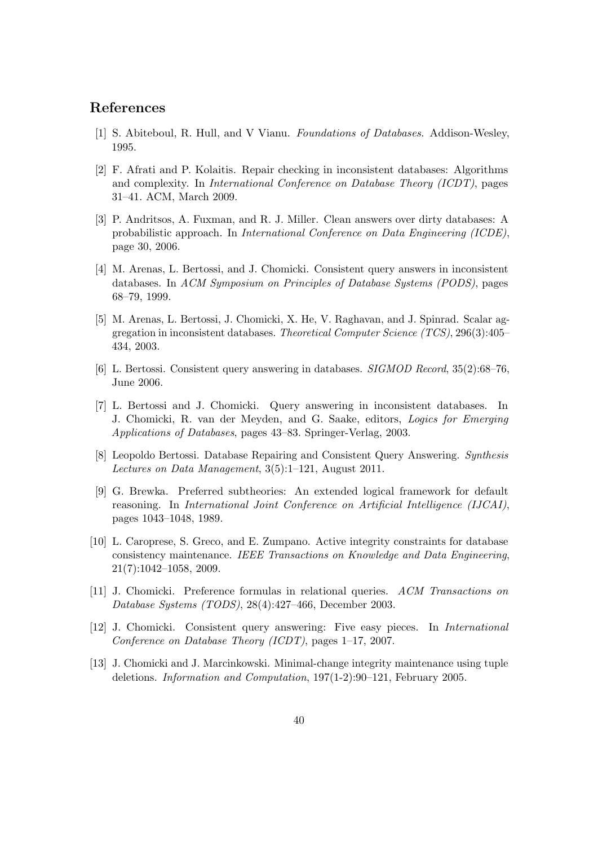## References

- [1] S. Abiteboul, R. Hull, and V Vianu. Foundations of Databases. Addison-Wesley, 1995.
- [2] F. Afrati and P. Kolaitis. Repair checking in inconsistent databases: Algorithms and complexity. In International Conference on Database Theory (ICDT), pages 31–41. ACM, March 2009.
- [3] P. Andritsos, A. Fuxman, and R. J. Miller. Clean answers over dirty databases: A probabilistic approach. In International Conference on Data Engineering (ICDE), page 30, 2006.
- [4] M. Arenas, L. Bertossi, and J. Chomicki. Consistent query answers in inconsistent databases. In ACM Symposium on Principles of Database Systems (PODS), pages 68–79, 1999.
- [5] M. Arenas, L. Bertossi, J. Chomicki, X. He, V. Raghavan, and J. Spinrad. Scalar aggregation in inconsistent databases. Theoretical Computer Science (TCS), 296(3):405– 434, 2003.
- [6] L. Bertossi. Consistent query answering in databases. SIGMOD Record, 35(2):68–76, June 2006.
- [7] L. Bertossi and J. Chomicki. Query answering in inconsistent databases. In J. Chomicki, R. van der Meyden, and G. Saake, editors, Logics for Emerging Applications of Databases, pages 43–83. Springer-Verlag, 2003.
- [8] Leopoldo Bertossi. Database Repairing and Consistent Query Answering. Synthesis Lectures on Data Management, 3(5):1–121, August 2011.
- [9] G. Brewka. Preferred subtheories: An extended logical framework for default reasoning. In International Joint Conference on Artificial Intelligence (IJCAI), pages 1043–1048, 1989.
- [10] L. Caroprese, S. Greco, and E. Zumpano. Active integrity constraints for database consistency maintenance. IEEE Transactions on Knowledge and Data Engineering, 21(7):1042–1058, 2009.
- [11] J. Chomicki. Preference formulas in relational queries. ACM Transactions on Database Systems (TODS), 28(4):427–466, December 2003.
- [12] J. Chomicki. Consistent query answering: Five easy pieces. In International Conference on Database Theory (ICDT), pages 1–17, 2007.
- [13] J. Chomicki and J. Marcinkowski. Minimal-change integrity maintenance using tuple deletions. Information and Computation, 197(1-2):90–121, February 2005.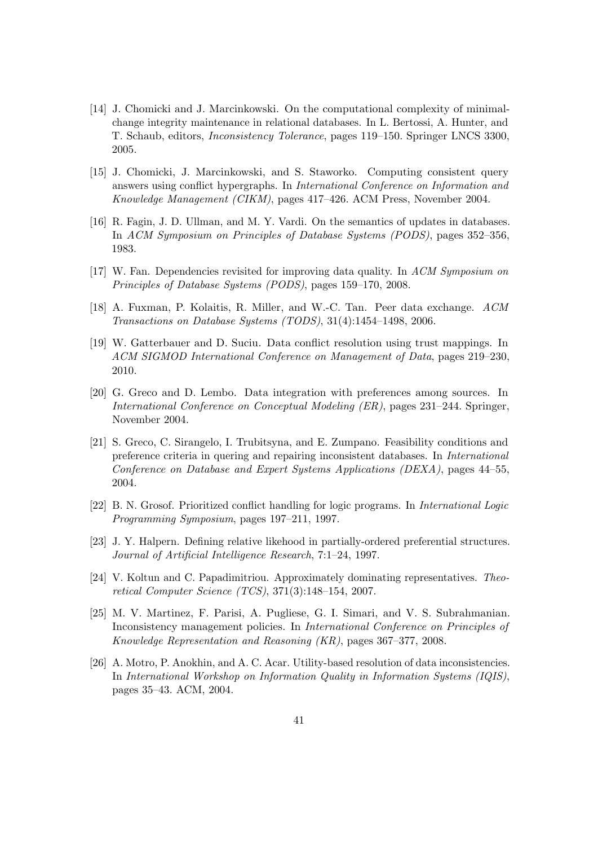- [14] J. Chomicki and J. Marcinkowski. On the computational complexity of minimalchange integrity maintenance in relational databases. In L. Bertossi, A. Hunter, and T. Schaub, editors, Inconsistency Tolerance, pages 119–150. Springer LNCS 3300, 2005.
- [15] J. Chomicki, J. Marcinkowski, and S. Staworko. Computing consistent query answers using conflict hypergraphs. In International Conference on Information and Knowledge Management (CIKM), pages 417–426. ACM Press, November 2004.
- [16] R. Fagin, J. D. Ullman, and M. Y. Vardi. On the semantics of updates in databases. In ACM Symposium on Principles of Database Systems (PODS), pages 352–356, 1983.
- [17] W. Fan. Dependencies revisited for improving data quality. In ACM Symposium on Principles of Database Systems (PODS), pages 159–170, 2008.
- [18] A. Fuxman, P. Kolaitis, R. Miller, and W.-C. Tan. Peer data exchange. ACM Transactions on Database Systems (TODS), 31(4):1454–1498, 2006.
- [19] W. Gatterbauer and D. Suciu. Data conflict resolution using trust mappings. In ACM SIGMOD International Conference on Management of Data, pages 219–230, 2010.
- [20] G. Greco and D. Lembo. Data integration with preferences among sources. In International Conference on Conceptual Modeling (ER), pages 231–244. Springer, November 2004.
- [21] S. Greco, C. Sirangelo, I. Trubitsyna, and E. Zumpano. Feasibility conditions and preference criteria in quering and repairing inconsistent databases. In International Conference on Database and Expert Systems Applications (DEXA), pages 44–55, 2004.
- [22] B. N. Grosof. Prioritized conflict handling for logic programs. In International Logic Programming Symposium, pages 197–211, 1997.
- [23] J. Y. Halpern. Defining relative likehood in partially-ordered preferential structures. Journal of Artificial Intelligence Research, 7:1–24, 1997.
- [24] V. Koltun and C. Papadimitriou. Approximately dominating representatives. Theoretical Computer Science (TCS), 371(3):148–154, 2007.
- [25] M. V. Martinez, F. Parisi, A. Pugliese, G. I. Simari, and V. S. Subrahmanian. Inconsistency management policies. In International Conference on Principles of Knowledge Representation and Reasoning (KR), pages 367–377, 2008.
- [26] A. Motro, P. Anokhin, and A. C. Acar. Utility-based resolution of data inconsistencies. In International Workshop on Information Quality in Information Systems (IQIS), pages 35–43. ACM, 2004.